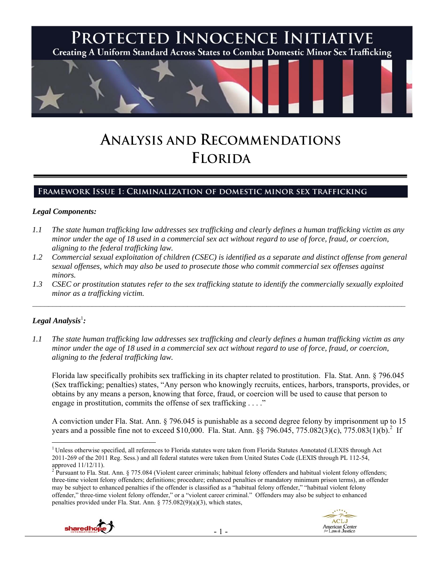

# **ANALYSIS AND RECOMMENDATIONS FLORIDA**

## **Framework Issue 1: Criminalization of domestic minor sex trafficking**

#### *Legal Components:*

- *1.1 The state human trafficking law addresses sex trafficking and clearly defines a human trafficking victim as any minor under the age of 18 used in a commercial sex act without regard to use of force, fraud, or coercion, aligning to the federal trafficking law.*
- *1.2 Commercial sexual exploitation of children (CSEC) is identified as a separate and distinct offense from general sexual offenses, which may also be used to prosecute those who commit commercial sex offenses against minors.*
- *1.3 CSEC or prostitution statutes refer to the sex trafficking statute to identify the commercially sexually exploited minor as a trafficking victim.*   $\mathcal{L}_\mathcal{L} = \{ \mathcal{L}_\mathcal{L} = \{ \mathcal{L}_\mathcal{L} = \{ \mathcal{L}_\mathcal{L} = \{ \mathcal{L}_\mathcal{L} = \{ \mathcal{L}_\mathcal{L} = \{ \mathcal{L}_\mathcal{L} = \{ \mathcal{L}_\mathcal{L} = \{ \mathcal{L}_\mathcal{L} = \{ \mathcal{L}_\mathcal{L} = \{ \mathcal{L}_\mathcal{L} = \{ \mathcal{L}_\mathcal{L} = \{ \mathcal{L}_\mathcal{L} = \{ \mathcal{L}_\mathcal{L} = \{ \mathcal{L}_\mathcal{$

## $\bm{\mathit{Legal\, Analysis}^{\text{l}}:}$

*1.1 The state human trafficking law addresses sex trafficking and clearly defines a human trafficking victim as any minor under the age of 18 used in a commercial sex act without regard to use of force, fraud, or coercion, aligning to the federal trafficking law.* 

Florida law specifically prohibits sex trafficking in its chapter related to prostitution. Fla. Stat. Ann. § 796.045 (Sex trafficking; penalties) states, "Any person who knowingly recruits, entices, harbors, transports, provides, or obtains by any means a person, knowing that force, fraud, or coercion will be used to cause that person to engage in prostitution, commits the offense of sex trafficking . . . ."

A conviction under Fla. Stat. Ann. § 796.045 is punishable as a second degree felony by imprisonment up to 15 years and a possible fine not to exceed \$10,000. Fla. Stat. Ann. §§ 796.045, 775.082(3)(c), 775.083(1)(b). If

<sup>&</sup>lt;sup>2</sup> Pursuant to Fla. Stat. Ann. § 775.084 (Violent career criminals; habitual felony offenders and habitual violent felony offenders; three-time violent felony offenders; definitions; procedure; enhanced penalties or mandatory minimum prison terms), an offender may be subject to enhanced penalties if the offender is classified as a "habitual felony offender," "habitual violent felony offender," three-time violent felony offender," or a "violent career criminal." Offenders may also be subject to enhanced penalties provided under Fla. Stat. Ann. § 775.082(9)(a)(3), which states,





 $\overline{a}$  $1$  Unless otherwise specified, all references to Florida statutes were taken from Florida Statutes Annotated (LEXIS through Act 2011-269 of the 2011 Reg. Sess.) and all federal statutes were taken from United States Code (LEXIS through PL 112-54, approved 11/12/11).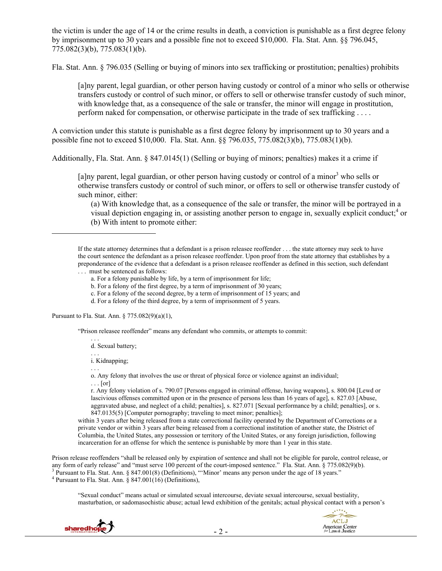the victim is under the age of 14 or the crime results in death, a conviction is punishable as a first degree felony by imprisonment up to 30 years and a possible fine not to exceed \$10,000. Fla. Stat. Ann. §§ 796.045, 775.082(3)(b), 775.083(1)(b).

Fla. Stat. Ann. § 796.035 (Selling or buying of minors into sex trafficking or prostitution; penalties) prohibits

[a]ny parent, legal guardian, or other person having custody or control of a minor who sells or otherwise transfers custody or control of such minor, or offers to sell or otherwise transfer custody of such minor, with knowledge that, as a consequence of the sale or transfer, the minor will engage in prostitution, perform naked for compensation, or otherwise participate in the trade of sex trafficking . . . .

A conviction under this statute is punishable as a first degree felony by imprisonment up to 30 years and a possible fine not to exceed \$10,000. Fla. Stat. Ann. §§ 796.035, 775.082(3)(b), 775.083(1)(b).

Additionally, Fla. Stat. Ann. § 847.0145(1) (Selling or buying of minors; penalties) makes it a crime if

[a]ny parent, legal guardian, or other person having custody or control of a minor<sup>3</sup> who sells or otherwise transfers custody or control of such minor, or offers to sell or otherwise transfer custody of such minor, either:

(a) With knowledge that, as a consequence of the sale or transfer, the minor will be portrayed in a visual depiction engaging in, or assisting another person to engage in, sexually explicit conduct;<sup>4</sup> or (b) With intent to promote either:

If the state attorney determines that a defendant is a prison releasee reoffender . . . the state attorney may seek to have the court sentence the defendant as a prison releasee reoffender. Upon proof from the state attorney that establishes by a preponderance of the evidence that a defendant is a prison releasee reoffender as defined in this section, such defendant . . . must be sentenced as follows:

- a. For a felony punishable by life, by a term of imprisonment for life;
- b. For a felony of the first degree, by a term of imprisonment of 30 years;
- c. For a felony of the second degree, by a term of imprisonment of 15 years; and
- d. For a felony of the third degree, by a term of imprisonment of 5 years.

Pursuant to Fla. Stat. Ann. § 775.082(9)(a)(1),

"Prison releasee reoffender" means any defendant who commits, or attempts to commit:

. . . d. Sexual battery;

. . . i. Kidnapping;

. . . o. Any felony that involves the use or threat of physical force or violence against an individual;

 $\ldots$  [or]

 $\overline{a}$ 

r. Any felony violation of s. 790.07 [Persons engaged in criminal offense, having weapons], s. 800.04 [Lewd or lascivious offenses committed upon or in the presence of persons less than 16 years of agel, s. 827.03 [Abuse, aggravated abuse, and neglect of a child; penalties], s. 827.071 [Sexual performance by a child; penalties], or s. 847.0135(5) [Computer pornography; traveling to meet minor; penalties];

within 3 years after being released from a state correctional facility operated by the Department of Corrections or a private vendor or within 3 years after being released from a correctional institution of another state, the District of Columbia, the United States, any possession or territory of the United States, or any foreign jurisdiction, following incarceration for an offense for which the sentence is punishable by more than 1 year in this state.

Prison release reoffenders "shall be released only by expiration of sentence and shall not be eligible for parole, control release, or any form of early release" and "must serve 100 percent of the court-imposed sentence." Fla. Stat. Ann. § 775.082(9)(b). <sup>3</sup> Pursuant to Fla. Stat. Ann. § 847.001(8) (Definitions), "'Minor' means any person under the age of 18 years."  $4$  Pursuant to Fla. Stat. Ann. § 847.001(16) (Definitions),

"Sexual conduct" means actual or simulated sexual intercourse, deviate sexual intercourse, sexual bestiality, masturbation, or sadomasochistic abuse; actual lewd exhibition of the genitals; actual physical contact with a person's

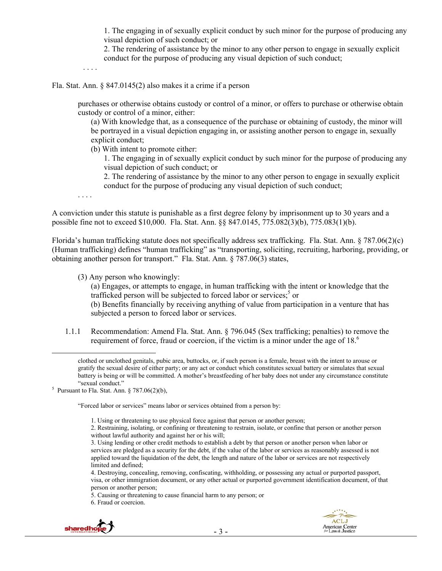1. The engaging in of sexually explicit conduct by such minor for the purpose of producing any visual depiction of such conduct; or

2. The rendering of assistance by the minor to any other person to engage in sexually explicit conduct for the purpose of producing any visual depiction of such conduct;

. . . .

Fla. Stat. Ann. § 847.0145(2) also makes it a crime if a person

purchases or otherwise obtains custody or control of a minor, or offers to purchase or otherwise obtain custody or control of a minor, either:

(a) With knowledge that, as a consequence of the purchase or obtaining of custody, the minor will be portrayed in a visual depiction engaging in, or assisting another person to engage in, sexually explicit conduct;

(b) With intent to promote either:

1. The engaging in of sexually explicit conduct by such minor for the purpose of producing any visual depiction of such conduct; or

2. The rendering of assistance by the minor to any other person to engage in sexually explicit conduct for the purpose of producing any visual depiction of such conduct;

. . . .

A conviction under this statute is punishable as a first degree felony by imprisonment up to 30 years and a possible fine not to exceed \$10,000. Fla. Stat. Ann. §§ 847.0145, 775.082(3)(b), 775.083(1)(b).

Florida's human trafficking statute does not specifically address sex trafficking. Fla. Stat. Ann. § 787.06(2)(c) (Human trafficking) defines "human trafficking" as "transporting, soliciting, recruiting, harboring, providing, or obtaining another person for transport." Fla. Stat. Ann. § 787.06(3) states,

(3) Any person who knowingly:

(a) Engages, or attempts to engage, in human trafficking with the intent or knowledge that the trafficked person will be subjected to forced labor or services;<sup>5</sup> or

(b) Benefits financially by receiving anything of value from participation in a venture that has subjected a person to forced labor or services.

1.1.1 Recommendation: Amend Fla. Stat. Ann. § 796.045 (Sex trafficking; penalties) to remove the requirement of force, fraud or coercion, if the victim is a minor under the age of 18.<sup>6</sup>

<sup>5</sup> Pursuant to Fla. Stat. Ann. § 787.06(2)(b),

"Forced labor or services" means labor or services obtained from a person by:

1. Using or threatening to use physical force against that person or another person;

5. Causing or threatening to cause financial harm to any person; or

6. Fraud or coercion.



clothed or unclothed genitals, pubic area, buttocks, or, if such person is a female, breast with the intent to arouse or gratify the sexual desire of either party; or any act or conduct which constitutes sexual battery or simulates that sexual battery is being or will be committed. A mother's breastfeeding of her baby does not under any circumstance constitute

<sup>2.</sup> Restraining, isolating, or confining or threatening to restrain, isolate, or confine that person or another person without lawful authority and against her or his will;

<sup>3.</sup> Using lending or other credit methods to establish a debt by that person or another person when labor or services are pledged as a security for the debt, if the value of the labor or services as reasonably assessed is not applied toward the liquidation of the debt, the length and nature of the labor or services are not respectively limited and defined;

<sup>4.</sup> Destroying, concealing, removing, confiscating, withholding, or possessing any actual or purported passport, visa, or other immigration document, or any other actual or purported government identification document, of that person or another person;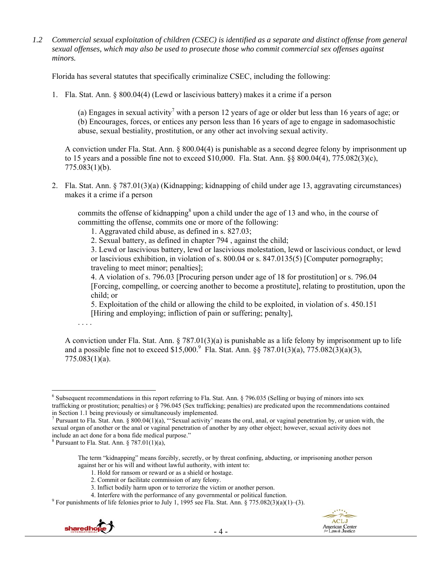*1.2 Commercial sexual exploitation of children (CSEC) is identified as a separate and distinct offense from general sexual offenses, which may also be used to prosecute those who commit commercial sex offenses against minors.* 

Florida has several statutes that specifically criminalize CSEC, including the following:

1. Fla. Stat. Ann. § 800.04(4) (Lewd or lascivious battery) makes it a crime if a person

(a) Engages in sexual activity<sup>7</sup> with a person 12 years of age or older but less than 16 years of age; or (b) Encourages, forces, or entices any person less than 16 years of age to engage in sadomasochistic abuse, sexual bestiality, prostitution, or any other act involving sexual activity.

A conviction under Fla. Stat. Ann. § 800.04(4) is punishable as a second degree felony by imprisonment up to 15 years and a possible fine not to exceed \$10,000. Fla. Stat. Ann. §§ 800.04(4), 775.082(3)(c), 775.083(1)(b).

2. Fla. Stat. Ann. § 787.01(3)(a) (Kidnapping; kidnapping of child under age 13, aggravating circumstances) makes it a crime if a person

commits the offense of kidnapping<sup>8</sup> upon a child under the age of 13 and who, in the course of committing the offense, commits one or more of the following:

1. Aggravated child abuse, as defined in s. 827.03;

2. Sexual battery, as defined in chapter 794 , against the child;

3. Lewd or lascivious battery, lewd or lascivious molestation, lewd or lascivious conduct, or lewd or lascivious exhibition, in violation of s. 800.04 or s. 847.0135(5) [Computer pornography; traveling to meet minor; penalties];

4. A violation of s. 796.03 [Procuring person under age of 18 for prostitution] or s. 796.04 [Forcing, compelling, or coercing another to become a prostitute], relating to prostitution, upon the child; or

5. Exploitation of the child or allowing the child to be exploited, in violation of s. 450.151 [Hiring and employing; infliction of pain or suffering; penalty],

. . . .

A conviction under Fla. Stat. Ann. § 787.01(3)(a) is punishable as a life felony by imprisonment up to life and a possible fine not to exceed \$15,000.<sup>9</sup> Fla. Stat. Ann. §§ 787.01(3)(a), 775.082(3)(a)(3), 775.083(1)(a).

3. Inflict bodily harm upon or to terrorize the victim or another person.

<sup>&</sup>lt;sup>9</sup> For punishments of life felonies prior to July 1, 1995 see Fla. Stat. Ann. § 775.082(3)(a)(1)–(3).



 $\overline{a}$  $6$  Subsequent recommendations in this report referring to Fla. Stat. Ann. § 796.035 (Selling or buying of minors into sex trafficking or prostitution; penalties) or § 796.045 (Sex trafficking; penalties) are predicated upon the recommendations contained in Section 1.1 being previously or simultaneously implemented.

<sup>&</sup>lt;sup>7</sup> Pursuant to Fla. Stat. Ann. § 800.04(1)(a), "Sexual activity' means the oral, anal, or vaginal penetration by, or union with, the sexual organ of another or the anal or vaginal penetration of another by any other object; however, sexual activity does not include an act done for a bona fide medical purpose."

 $8$  Pursuant to Fla. Stat. Ann. § 787.01(1)(a),

The term "kidnapping" means forcibly, secretly, or by threat confining, abducting, or imprisoning another person against her or his will and without lawful authority, with intent to:

<sup>1.</sup> Hold for ransom or reward or as a shield or hostage.

<sup>2.</sup> Commit or facilitate commission of any felony.

<sup>4.</sup> Interfere with the performance of any governmental or political function. 9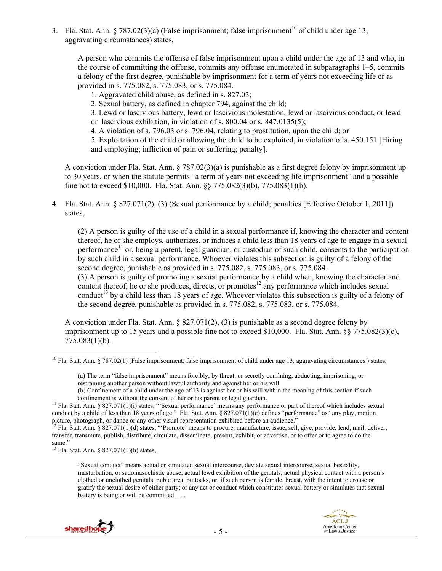3. Fla. Stat. Ann. § 787.02(3)(a) (False imprisonment; false imprisonment<sup>10</sup> of child under age 13, aggravating circumstances) states,

A person who commits the offense of false imprisonment upon a child under the age of 13 and who, in the course of committing the offense, commits any offense enumerated in subparagraphs 1–5, commits a felony of the first degree, punishable by imprisonment for a term of years not exceeding life or as provided in s. 775.082, s. 775.083, or s. 775.084.

1. Aggravated child abuse, as defined in s. 827.03;

2. Sexual battery, as defined in chapter 794, against the child;

3. Lewd or lascivious battery, lewd or lascivious molestation, lewd or lascivious conduct, or lewd or lascivious exhibition, in violation of s. 800.04 or s. 847.0135(5);

4. A violation of s. 796.03 or s. 796.04, relating to prostitution, upon the child; or

5. Exploitation of the child or allowing the child to be exploited, in violation of s. 450.151 [Hiring and employing; infliction of pain or suffering; penalty].

A conviction under Fla. Stat. Ann. § 787.02(3)(a) is punishable as a first degree felony by imprisonment up to 30 years, or when the statute permits "a term of years not exceeding life imprisonment" and a possible fine not to exceed \$10,000. Fla. Stat. Ann. §§ 775.082(3)(b), 775.083(1)(b).

4. Fla. Stat. Ann. § 827.071(2), (3) (Sexual performance by a child; penalties [Effective October 1, 2011]) states,

(2) A person is guilty of the use of a child in a sexual performance if, knowing the character and content thereof, he or she employs, authorizes, or induces a child less than 18 years of age to engage in a sexual performance<sup>11</sup> or, being a parent, legal guardian, or custodian of such child, consents to the participation by such child in a sexual performance. Whoever violates this subsection is guilty of a felony of the second degree, punishable as provided in s. 775.082, s. 775.083, or s. 775.084.

(3) A person is guilty of promoting a sexual performance by a child when, knowing the character and content thereof, he or she produces, directs, or promotes<sup>12</sup> any performance which includes sexual conduct<sup>13</sup> by a child less than 18 years of age. Whoever violates this subsection is guilty of a felony of the second degree, punishable as provided in s. 775.082, s. 775.083, or s. 775.084.

A conviction under Fla. Stat. Ann.  $\S 827.071(2)$ , (3) is punishable as a second degree felony by imprisonment up to 15 years and a possible fine not to exceed \$10,000. Fla. Stat. Ann. §§ 775.082(3)(c), 775.083(1)(b).

13 Fla. Stat. Ann. § 827.071(1)(h) states,

<sup>&</sup>quot;Sexual conduct" means actual or simulated sexual intercourse, deviate sexual intercourse, sexual bestiality, masturbation, or sadomasochistic abuse; actual lewd exhibition of the genitals; actual physical contact with a person's clothed or unclothed genitals, pubic area, buttocks, or, if such person is female, breast, with the intent to arouse or gratify the sexual desire of either party; or any act or conduct which constitutes sexual battery or simulates that sexual battery is being or will be committed. . . .



<sup>&</sup>lt;sup>10</sup> Fla. Stat. Ann. § 787.02(1) (False imprisonment; false imprisonment of child under age 13, aggravating circumstances) states,

<sup>(</sup>a) The term "false imprisonment" means forcibly, by threat, or secretly confining, abducting, imprisoning, or restraining another person without lawful authority and against her or his will.

<sup>(</sup>b) Confinement of a child under the age of 13 is against her or his will within the meaning of this section if such confinement is without the consent of her or his parent or legal guardian.<br><sup>11</sup> Fla. Stat. Ann. § 827.071(1)(i) states, "'Sexual performance' means any performance or part of thereof which includes sexual

conduct by a child of less than 18 years of age." Fla. Stat. Ann. § 827.071(1)(c) defines "performance" as "any play, motion picture, photograph, or dance or any other visual representation exhibited before an audience."<br><sup>12</sup> Fla. Stat. Ann. § 827.071(1)(d) states, "Promote' means to procure, manufacture, issue, sell, give, provide, lend, mail,

transfer, transmute, publish, distribute, circulate, disseminate, present, exhibit, or advertise, or to offer or to agree to do the same."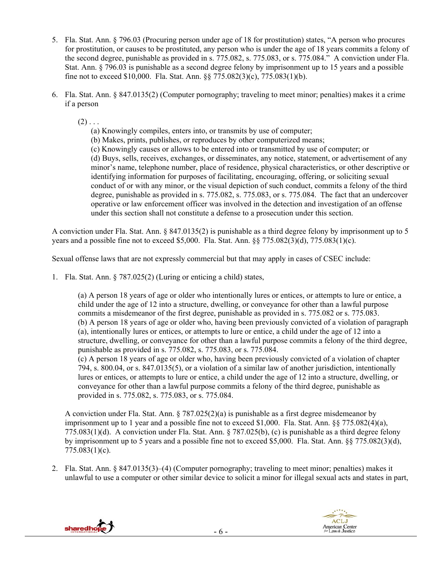- 5. Fla. Stat. Ann. § 796.03 (Procuring person under age of 18 for prostitution) states, "A person who procures for prostitution, or causes to be prostituted, any person who is under the age of 18 years commits a felony of the second degree, punishable as provided in s. 775.082, s. 775.083, or s. 775.084." A conviction under Fla. Stat. Ann. § 796.03 is punishable as a second degree felony by imprisonment up to 15 years and a possible fine not to exceed \$10,000. Fla. Stat. Ann. §§ 775.082(3)(c), 775.083(1)(b).
- 6. Fla. Stat. Ann. § 847.0135(2) (Computer pornography; traveling to meet minor; penalties) makes it a crime if a person

 $(2)$ ...

- (a) Knowingly compiles, enters into, or transmits by use of computer;
- (b) Makes, prints, publishes, or reproduces by other computerized means;
- (c) Knowingly causes or allows to be entered into or transmitted by use of computer; or

(d) Buys, sells, receives, exchanges, or disseminates, any notice, statement, or advertisement of any minor's name, telephone number, place of residence, physical characteristics, or other descriptive or identifying information for purposes of facilitating, encouraging, offering, or soliciting sexual conduct of or with any minor, or the visual depiction of such conduct, commits a felony of the third degree, punishable as provided in s. 775.082, s. 775.083, or s. 775.084. The fact that an undercover operative or law enforcement officer was involved in the detection and investigation of an offense under this section shall not constitute a defense to a prosecution under this section.

A conviction under Fla. Stat. Ann. § 847.0135(2) is punishable as a third degree felony by imprisonment up to 5 years and a possible fine not to exceed \$5,000. Fla. Stat. Ann. §§ 775.082(3)(d), 775.083(1)(c).

Sexual offense laws that are not expressly commercial but that may apply in cases of CSEC include:

1. Fla. Stat. Ann. § 787.025(2) (Luring or enticing a child) states,

(a) A person 18 years of age or older who intentionally lures or entices, or attempts to lure or entice, a child under the age of 12 into a structure, dwelling, or conveyance for other than a lawful purpose commits a misdemeanor of the first degree, punishable as provided in s. 775.082 or s. 775.083. (b) A person 18 years of age or older who, having been previously convicted of a violation of paragraph (a), intentionally lures or entices, or attempts to lure or entice, a child under the age of 12 into a structure, dwelling, or conveyance for other than a lawful purpose commits a felony of the third degree, punishable as provided in s. 775.082, s. 775.083, or s. 775.084.

(c) A person 18 years of age or older who, having been previously convicted of a violation of chapter 794, s. 800.04, or s. 847.0135(5), or a violation of a similar law of another jurisdiction, intentionally lures or entices, or attempts to lure or entice, a child under the age of 12 into a structure, dwelling, or conveyance for other than a lawful purpose commits a felony of the third degree, punishable as provided in s. 775.082, s. 775.083, or s. 775.084.

A conviction under Fla. Stat. Ann.  $\S 787.025(2)(a)$  is punishable as a first degree misdemeanor by imprisonment up to 1 year and a possible fine not to exceed \$1,000. Fla. Stat. Ann. §§ 775.082(4)(a), 775.083(1)(d). A conviction under Fla. Stat. Ann. § 787.025(b), (c) is punishable as a third degree felony by imprisonment up to 5 years and a possible fine not to exceed \$5,000. Fla. Stat. Ann. §§ 775.082(3)(d), 775.083(1)(c).

2. Fla. Stat. Ann. § 847.0135(3)–(4) (Computer pornography; traveling to meet minor; penalties) makes it unlawful to use a computer or other similar device to solicit a minor for illegal sexual acts and states in part,



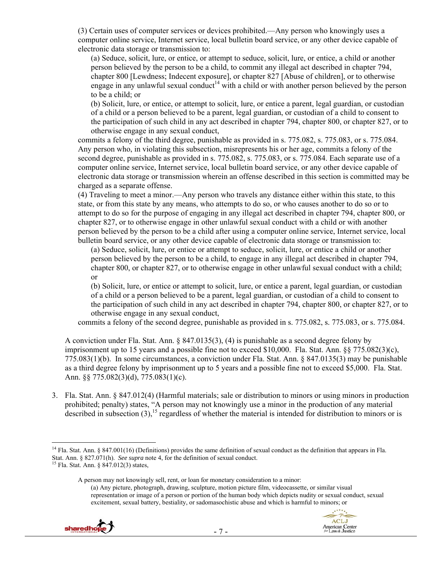(3) Certain uses of computer services or devices prohibited.—Any person who knowingly uses a computer online service, Internet service, local bulletin board service, or any other device capable of electronic data storage or transmission to:

(a) Seduce, solicit, lure, or entice, or attempt to seduce, solicit, lure, or entice, a child or another person believed by the person to be a child, to commit any illegal act described in chapter 794, chapter 800 [Lewdness; Indecent exposure], or chapter 827 [Abuse of children], or to otherwise engage in any unlawful sexual conduct<sup>14</sup> with a child or with another person believed by the person to be a child; or

(b) Solicit, lure, or entice, or attempt to solicit, lure, or entice a parent, legal guardian, or custodian of a child or a person believed to be a parent, legal guardian, or custodian of a child to consent to the participation of such child in any act described in chapter 794, chapter 800, or chapter 827, or to otherwise engage in any sexual conduct,

commits a felony of the third degree, punishable as provided in s. 775.082, s. 775.083, or s. 775.084. Any person who, in violating this subsection, misrepresents his or her age, commits a felony of the second degree, punishable as provided in s. 775.082, s. 775.083, or s. 775.084. Each separate use of a computer online service, Internet service, local bulletin board service, or any other device capable of electronic data storage or transmission wherein an offense described in this section is committed may be charged as a separate offense.

(4) Traveling to meet a minor.—Any person who travels any distance either within this state, to this state, or from this state by any means, who attempts to do so, or who causes another to do so or to attempt to do so for the purpose of engaging in any illegal act described in chapter 794, chapter 800, or chapter 827, or to otherwise engage in other unlawful sexual conduct with a child or with another person believed by the person to be a child after using a computer online service, Internet service, local bulletin board service, or any other device capable of electronic data storage or transmission to:

(a) Seduce, solicit, lure, or entice or attempt to seduce, solicit, lure, or entice a child or another person believed by the person to be a child, to engage in any illegal act described in chapter 794, chapter 800, or chapter 827, or to otherwise engage in other unlawful sexual conduct with a child; or

(b) Solicit, lure, or entice or attempt to solicit, lure, or entice a parent, legal guardian, or custodian of a child or a person believed to be a parent, legal guardian, or custodian of a child to consent to the participation of such child in any act described in chapter 794, chapter 800, or chapter 827, or to otherwise engage in any sexual conduct,

commits a felony of the second degree, punishable as provided in s. 775.082, s. 775.083, or s. 775.084.

A conviction under Fla. Stat. Ann. § 847.0135(3), (4) is punishable as a second degree felony by imprisonment up to 15 years and a possible fine not to exceed \$10,000. Fla. Stat. Ann. §§ 775.082(3)(c), 775.083(1)(b). In some circumstances, a conviction under Fla. Stat. Ann. § 847.0135(3) may be punishable as a third degree felony by imprisonment up to 5 years and a possible fine not to exceed \$5,000. Fla. Stat. Ann. §§ 775.082(3)(d), 775.083(1)(c).

3. Fla. Stat. Ann. § 847.012(4) (Harmful materials; sale or distribution to minors or using minors in production prohibited; penalty) states, "A person may not knowingly use a minor in the production of any material described in subsection  $(3)$ ,<sup>15</sup> regardless of whether the material is intended for distribution to minors or is

<sup>(</sup>a) Any picture, photograph, drawing, sculpture, motion picture film, videocassette, or similar visual representation or image of a person or portion of the human body which depicts nudity or sexual conduct, sexual excitement, sexual battery, bestiality, or sadomasochistic abuse and which is harmful to minors; or





<sup>&</sup>lt;sup>14</sup> Fla. Stat. Ann. § 847.001(16) (Definitions) provides the same definition of sexual conduct as the definition that appears in Fla. Stat. Ann. § 827.071(h). *See supra* note 4, for the definition of sexual conduct. <sup>15</sup> Fla. Stat. Ann. § 847.012(3) states,

A person may not knowingly sell, rent, or loan for monetary consideration to a minor: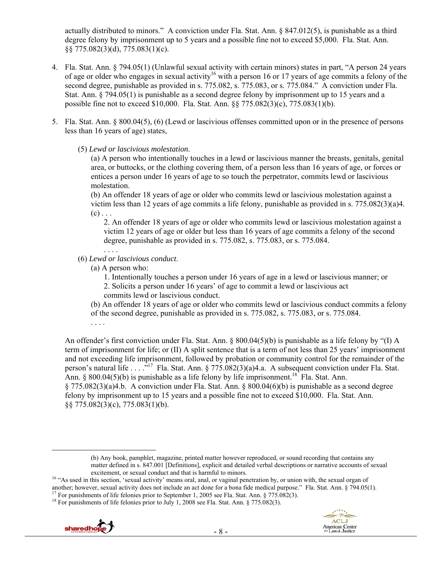actually distributed to minors." A conviction under Fla. Stat. Ann. § 847.012(5), is punishable as a third degree felony by imprisonment up to 5 years and a possible fine not to exceed \$5,000. Fla. Stat. Ann. §§ 775.082(3)(d), 775.083(1)(c).

- 4. Fla. Stat. Ann. § 794.05(1) (Unlawful sexual activity with certain minors) states in part, "A person 24 years of age or older who engages in sexual activity<sup>16</sup> with a person 16 or 17 years of age commits a felony of the second degree, punishable as provided in s. 775.082, s. 775.083, or s. 775.084." A conviction under Fla. Stat. Ann. § 794.05(1) is punishable as a second degree felony by imprisonment up to 15 years and a possible fine not to exceed \$10,000. Fla. Stat. Ann. §§ 775.082(3)(c), 775.083(1)(b).
- 5. Fla. Stat. Ann. § 800.04(5), (6) (Lewd or lascivious offenses committed upon or in the presence of persons less than 16 years of age) states,
	- (5) *Lewd or lascivious molestation*.

(a) A person who intentionally touches in a lewd or lascivious manner the breasts, genitals, genital area, or buttocks, or the clothing covering them, of a person less than 16 years of age, or forces or entices a person under 16 years of age to so touch the perpetrator, commits lewd or lascivious molestation.

(b) An offender 18 years of age or older who commits lewd or lascivious molestation against a victim less than 12 years of age commits a life felony, punishable as provided in s. 775.082(3)(a)4.  $(c)$ ...

2. An offender 18 years of age or older who commits lewd or lascivious molestation against a victim 12 years of age or older but less than 16 years of age commits a felony of the second degree, punishable as provided in s. 775.082, s. 775.083, or s. 775.084.

- (6) *Lewd or lascivious conduct*.
	- (a) A person who:
		- 1. Intentionally touches a person under 16 years of age in a lewd or lascivious manner; or
		- 2. Solicits a person under 16 years' of age to commit a lewd or lascivious act commits lewd or lascivious conduct.
	- (b) An offender 18 years of age or older who commits lewd or lascivious conduct commits a felony
	- of the second degree, punishable as provided in s. 775.082, s. 775.083, or s. 775.084.
	- . . . .

An offender's first conviction under Fla. Stat. Ann. § 800.04(5)(b) is punishable as a life felony by "(I) A term of imprisonment for life; or (II) A split sentence that is a term of not less than 25 years' imprisonment and not exceeding life imprisonment, followed by probation or community control for the remainder of the person's natural life . . . . .<sup>17</sup> Fla. Stat. Ann. § 775.082(3)(a)4.a. A subsequent conviction under Fla. Stat. Ann. § 800.04(5)(b) is punishable as a life felony by life imprisonment.<sup>18</sup> Fla. Stat. Ann. § 775.082(3)(a)4.b. A conviction under Fla. Stat. Ann. § 800.04(6)(b) is punishable as a second degree felony by imprisonment up to 15 years and a possible fine not to exceed \$10,000. Fla. Stat. Ann. §§ 775.082(3)(c), 775.083(1)(b).



 <sup>(</sup>b) Any book, pamphlet, magazine, printed matter however reproduced, or sound recording that contains any matter defined in s. 847.001 [Definitions], explicit and detailed verbal descriptions or narrative accounts of sexual

excitement, or sexual conduct and that is harmful to minors.<br><sup>16</sup> "As used in this section, 'sexual activity' means oral, anal, or vaginal penetration by, or union with, the sexual organ of another; however, sexual activity does not include an act done for a bona fide medical purpose." Fla. Stat. Ann. § 794.05(1).<br><sup>17</sup> For punishments of life felonies prior to September 1, 2005 see Fla. Stat. Ann. § 775.082(3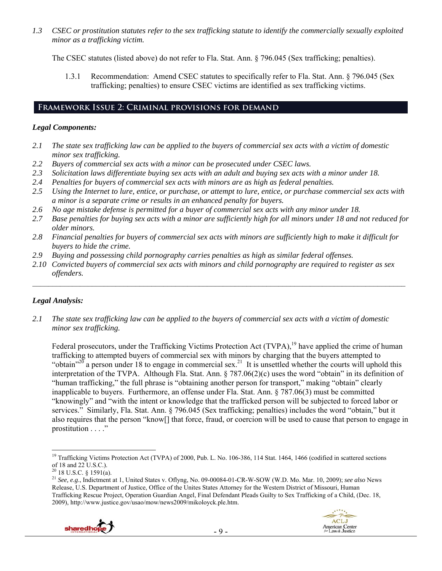*1.3 CSEC or prostitution statutes refer to the sex trafficking statute to identify the commercially sexually exploited minor as a trafficking victim.* 

The CSEC statutes (listed above) do not refer to Fla. Stat. Ann. § 796.045 (Sex trafficking; penalties).

1.3.1 Recommendation: Amend CSEC statutes to specifically refer to Fla. Stat. Ann. § 796.045 (Sex trafficking; penalties) to ensure CSEC victims are identified as sex trafficking victims.

## **Framework Issue 2: Criminal provisions for demand**

## *Legal Components:*

- *2.1 The state sex trafficking law can be applied to the buyers of commercial sex acts with a victim of domestic minor sex trafficking.*
- *2.2 Buyers of commercial sex acts with a minor can be prosecuted under CSEC laws.*
- *2.3 Solicitation laws differentiate buying sex acts with an adult and buying sex acts with a minor under 18.*
- *2.4 Penalties for buyers of commercial sex acts with minors are as high as federal penalties.*
- *2.5 Using the Internet to lure, entice, or purchase, or attempt to lure, entice, or purchase commercial sex acts with a minor is a separate crime or results in an enhanced penalty for buyers.*
- *2.6 No age mistake defense is permitted for a buyer of commercial sex acts with any minor under 18.*
- *2.7 Base penalties for buying sex acts with a minor are sufficiently high for all minors under 18 and not reduced for older minors.*
- *2.8 Financial penalties for buyers of commercial sex acts with minors are sufficiently high to make it difficult for buyers to hide the crime.*
- *2.9 Buying and possessing child pornography carries penalties as high as similar federal offenses.*
- *2.10 Convicted buyers of commercial sex acts with minors and child pornography are required to register as sex offenders.*

 $\_$ 

## *Legal Analysis:*

*2.1 The state sex trafficking law can be applied to the buyers of commercial sex acts with a victim of domestic minor sex trafficking.* 

Federal prosecutors, under the Trafficking Victims Protection Act (TVPA),<sup>19</sup> have applied the crime of human trafficking to attempted buyers of commercial sex with minors by charging that the buyers attempted to "obtain"<sup>20</sup> a person under 18 to engage in commercial sex.<sup>21</sup> It is unsettled whether the courts will uphold this interpretation of the TVPA. Although Fla. Stat. Ann. § 787.06(2)(c) uses the word "obtain" in its definition of "human trafficking," the full phrase is "obtaining another person for transport," making "obtain" clearly inapplicable to buyers. Furthermore, an offense under Fla. Stat. Ann. § 787.06(3) must be committed "knowingly" and "with the intent or knowledge that the trafficked person will be subjected to forced labor or services." Similarly, Fla. Stat. Ann. § 796.045 (Sex trafficking; penalties) includes the word "obtain," but it also requires that the person "know[] that force, fraud, or coercion will be used to cause that person to engage in prostitution . . . ."

<sup>21</sup> *See, e.g*., Indictment at 1, United States v. Oflyng, No. 09-00084-01-CR-W-SOW (W.D. Mo. Mar. 10, 2009); *see also* News Release, U.S. Department of Justice, Office of the Unites States Attorney for the Western District of Missouri, Human Trafficking Rescue Project, Operation Guardian Angel, Final Defendant Pleads Guilty to Sex Trafficking of a Child, (Dec. 18, 2009), http://www.justice.gov/usao/mow/news2009/mikoloyck.ple.htm.



<sup>&</sup>lt;sup>19</sup> Trafficking Victims Protection Act (TVPA) of 2000, Pub. L. No. 106-386, 114 Stat. 1464, 1466 (codified in scattered sections of 18 and 22 U.S.C.).

 $20$  18 U.S.C. § 1591(a).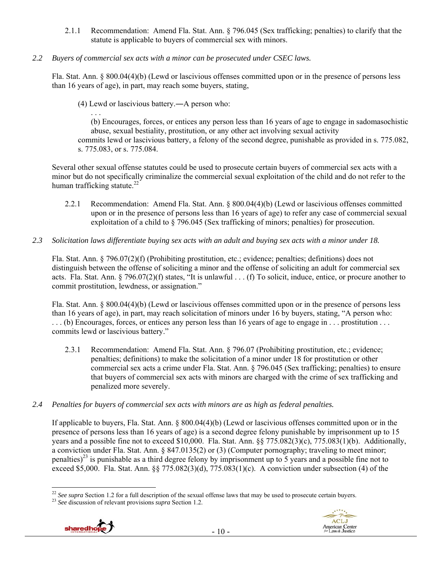- 2.1.1 Recommendation: Amend Fla. Stat. Ann. § 796.045 (Sex trafficking; penalties) to clarify that the statute is applicable to buyers of commercial sex with minors.
- *2.2 Buyers of commercial sex acts with a minor can be prosecuted under CSEC laws.*

Fla. Stat. Ann. § 800.04(4)(b) (Lewd or lascivious offenses committed upon or in the presence of persons less than 16 years of age), in part, may reach some buyers, stating,

(4) Lewd or lascivious battery.―A person who:

. . . (b) Encourages, forces, or entices any person less than 16 years of age to engage in sadomasochistic abuse, sexual bestiality, prostitution, or any other act involving sexual activity

commits lewd or lascivious battery, a felony of the second degree, punishable as provided in s. 775.082, s. 775.083, or s. 775.084.

Several other sexual offense statutes could be used to prosecute certain buyers of commercial sex acts with a minor but do not specifically criminalize the commercial sexual exploitation of the child and do not refer to the human trafficking statute. $^{22}$ 

- 2.2.1 Recommendation: Amend Fla. Stat. Ann. § 800.04(4)(b) (Lewd or lascivious offenses committed upon or in the presence of persons less than 16 years of age) to refer any case of commercial sexual exploitation of a child to § 796.045 (Sex trafficking of minors; penalties) for prosecution.
- *2.3 Solicitation laws differentiate buying sex acts with an adult and buying sex acts with a minor under 18.*

Fla. Stat. Ann. § 796.07(2)(f) (Prohibiting prostitution, etc.; evidence; penalties; definitions) does not distinguish between the offense of soliciting a minor and the offense of soliciting an adult for commercial sex acts. Fla. Stat. Ann. § 796.07(2)(f) states, "It is unlawful . . . (f) To solicit, induce, entice, or procure another to commit prostitution, lewdness, or assignation."

Fla. Stat. Ann. § 800.04(4)(b) (Lewd or lascivious offenses committed upon or in the presence of persons less than 16 years of age), in part, may reach solicitation of minors under 16 by buyers, stating, "A person who: . . . (b) Encourages, forces, or entices any person less than 16 years of age to engage in . . . prostitution . . . commits lewd or lascivious battery."

- 2.3.1 Recommendation: Amend Fla. Stat. Ann. § 796.07 (Prohibiting prostitution, etc.; evidence; penalties; definitions) to make the solicitation of a minor under 18 for prostitution or other commercial sex acts a crime under Fla. Stat. Ann. § 796.045 (Sex trafficking; penalties) to ensure that buyers of commercial sex acts with minors are charged with the crime of sex trafficking and penalized more severely.
- *2.4 Penalties for buyers of commercial sex acts with minors are as high as federal penalties.*

If applicable to buyers, Fla. Stat. Ann. § 800.04(4)(b) (Lewd or lascivious offenses committed upon or in the presence of persons less than 16 years of age) is a second degree felony punishable by imprisonment up to 15 years and a possible fine not to exceed \$10,000. Fla. Stat. Ann. §§ 775.082(3)(c), 775.083(1)(b). Additionally, a conviction under Fla. Stat. Ann. § 847.0135(2) or (3) (Computer pornography; traveling to meet minor; penalties)<sup>23</sup> is punishable as a third degree felony by imprisonment up to 5 years and a possible fine not to exceed \$5,000. Fla. Stat. Ann.  $\S$  775.082(3)(d), 775.083(1)(c). A conviction under subsection (4) of the





 $\overline{a}$ <sup>22</sup> *See supra* Section 1.2 for a full description of the sexual offense laws that may be used to prosecute certain buyers. <sup>23</sup> *See* discussion of relevant provisions *supra* Section 1.2.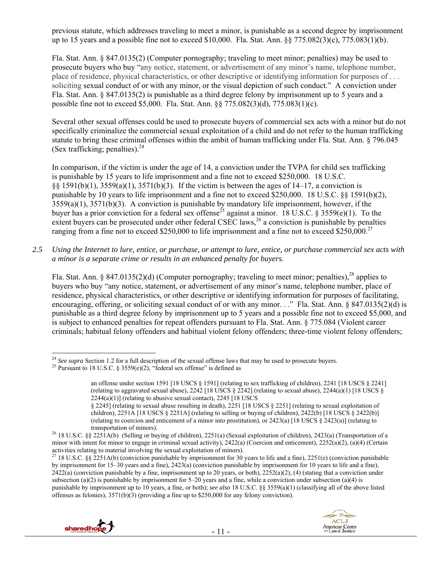previous statute, which addresses traveling to meet a minor, is punishable as a second degree by imprisonment up to 15 years and a possible fine not to exceed \$10,000. Fla. Stat. Ann.  $\S$   $\frac{\sqrt{5}}{2}$  775.082(3)(c), 775.083(1)(b).

Fla. Stat. Ann. § 847.0135(2) (Computer pornography; traveling to meet minor; penalties) may be used to prosecute buyers who buy "any notice, statement, or advertisement of any minor's name, telephone number, place of residence, physical characteristics, or other descriptive or identifying information for purposes of . . . soliciting sexual conduct of or with any minor, or the visual depiction of such conduct." A conviction under Fla. Stat. Ann. § 847.0135(2) is punishable as a third degree felony by imprisonment up to 5 years and a possible fine not to exceed \$5,000. Fla. Stat. Ann. §§ 775.082(3)(d), 775.083(1)(c).

Several other sexual offenses could be used to prosecute buyers of commercial sex acts with a minor but do not specifically criminalize the commercial sexual exploitation of a child and do not refer to the human trafficking statute to bring these criminal offenses within the ambit of human trafficking under Fla. Stat. Ann. § 796.045 (Sex trafficking; penalties). $^{24}$ 

In comparison, if the victim is under the age of 14, a conviction under the TVPA for child sex trafficking is punishable by 15 years to life imprisonment and a fine not to exceed \$250,000. 18 U.S.C. §§ 1591(b)(1), 3559(a)(1), 3571(b)(3). If the victim is between the ages of 14–17, a conviction is punishable by 10 years to life imprisonment and a fine not to exceed \$250,000. 18 U.S.C. §§ 1591(b)(2),  $3559(a)(1)$ ,  $3571(b)(3)$ . A conviction is punishable by mandatory life imprisonment, however, if the buyer has a prior conviction for a federal sex offense<sup>25</sup> against a minor. 18 U.S.C. § 3559(e)(1). To the extent buyers can be prosecuted under other federal CSEC laws,<sup>26</sup> a conviction is punishable by penalties ranging from a fine not to exceed \$250,000 to life imprisonment and a fine not to exceed \$250,000.<sup>27</sup>

*2.5 Using the Internet to lure, entice, or purchase, or attempt to lure, entice, or purchase commercial sex acts with a minor is a separate crime or results in an enhanced penalty for buyers.* 

Fla. Stat. Ann. § 847.0135(2)(d) (Computer pornography; traveling to meet minor; penalties), <sup>28</sup> applies to buyers who buy "any notice, statement, or advertisement of any minor's name, telephone number, place of residence, physical characteristics, or other descriptive or identifying information for purposes of facilitating, encouraging, offering, or soliciting sexual conduct of or with any minor. . ." Fla. Stat. Ann. § 847.0135(2)(d) is punishable as a third degree felony by imprisonment up to 5 years and a possible fine not to exceed \$5,000, and is subject to enhanced penalties for repeat offenders pursuant to Fla. Stat. Ann. § 775.084 (Violent career criminals; habitual felony offenders and habitual violent felony offenders; three-time violent felony offenders;

<sup>&</sup>lt;sup>27</sup> 18 U.S.C. §§ 2251A(b) (conviction punishable by imprisonment for 30 years to life and a fine), 2251(e) (conviction punishable by imprisonment for 15–30 years and a fine), 2423(a) (conviction punishable by imprisonment for 10 years to life and a fine),  $2422(a)$  (conviction punishable by a fine, imprisonment up to 20 years, or both),  $2252(a)(2)$ , (4) (stating that a conviction under subsection (a)(2) is punishable by imprisonment for  $5-20$  years and a fine, while a conviction under subsection (a)(4) is punishable by imprisonment up to 10 years, a fine, or both); *see also* 18 U.S.C. §§ 3559(a)(1) (classifying all of the above listed offenses as felonies),  $3571(b)(3)$  (providing a fine up to \$250,000 for any felony conviction).



 $\overline{a}$ <sup>24</sup> *See supra* Section 1.2 for a full description of the sexual offense laws that may be used to prosecute buyers. <sup>25</sup> Pursuant to 18 U.S.C. § 3559(e)(2), "federal sex offense" is defined as

an offense under section 1591 [18 USCS § 1591] (relating to sex trafficking of children), 2241 [18 USCS § 2241] (relating to aggravated sexual abuse),  $2242$  [18 USCS  $\S$  2242] (relating to sexual abuse),  $2244(a)(1)$  [18 USCS  $\S$ 2244(a)(1)] (relating to abusive sexual contact), 2245 [18 USCS

<sup>§ 2245] (</sup>relating to sexual abuse resulting in death), 2251 [18 USCS § 2251] (relating to sexual exploitation of children), 2251A [18 USCS § 2251A] (relating to selling or buying of children), 2422(b) [18 USCS § 2422(b)] (relating to coercion and enticement of a minor into prostitution), or  $2423(a)$  [18 USCS § 2423(a)] (relating to

transportation of minors). 26 18 U.S.C. §§ 2251A(b) (Selling or buying of children), 2251(a) (Sexual exploitation of children), 2423(a) (Transportation of a minor with intent for minor to engage in criminal sexual activity),  $2422(a)$  (Coercion and enticement),  $2252(a)(2)$ ,  $(a)(4)$  (Certain activities relating to material involving the sexual exploitation of minors).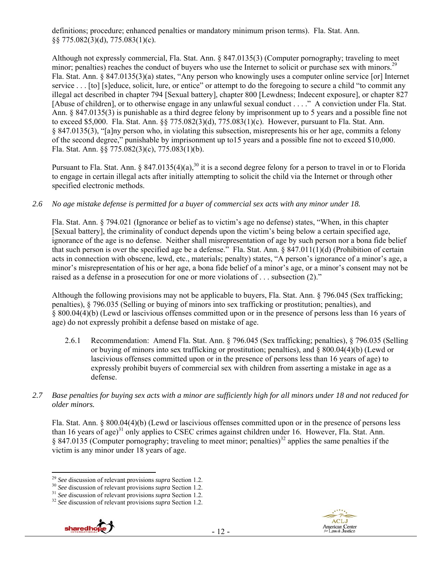definitions; procedure; enhanced penalties or mandatory minimum prison terms). Fla. Stat. Ann. §§ 775.082(3)(d), 775.083(1)(c).

Although not expressly commercial, Fla. Stat. Ann. § 847.0135(3) (Computer pornography; traveling to meet minor; penalties) reaches the conduct of buyers who use the Internet to solicit or purchase sex with minors.<sup>29</sup> Fla. Stat. Ann. § 847.0135(3)(a) states, "Any person who knowingly uses a computer online service [or] Internet service . . . [to] [s]educe, solicit, lure, or entice" or attempt to do the foregoing to secure a child "to commit any illegal act described in chapter 794 [Sexual battery], chapter 800 [Lewdness; Indecent exposure], or chapter 827 [Abuse of children], or to otherwise engage in any unlawful sexual conduct . . . ." A conviction under Fla. Stat. Ann. § 847.0135(3) is punishable as a third degree felony by imprisonment up to 5 years and a possible fine not to exceed \$5,000. Fla. Stat. Ann. §§ 775.082(3)(d), 775.083(1)(c). However, pursuant to Fla. Stat. Ann. § 847.0135(3), "[a]ny person who, in violating this subsection, misrepresents his or her age, commits a felony of the second degree," punishable by imprisonment up to15 years and a possible fine not to exceed \$10,000. Fla. Stat. Ann. §§ 775.082(3)(c), 775.083(1)(b).

Pursuant to Fla. Stat. Ann. § 847.0135(4)(a),<sup>30</sup> it is a second degree felony for a person to travel in or to Florida to engage in certain illegal acts after initially attempting to solicit the child via the Internet or through other specified electronic methods.

*2.6 No age mistake defense is permitted for a buyer of commercial sex acts with any minor under 18.* 

Fla. Stat. Ann. § 794.021 (Ignorance or belief as to victim's age no defense) states, "When, in this chapter [Sexual battery], the criminality of conduct depends upon the victim's being below a certain specified age, ignorance of the age is no defense. Neither shall misrepresentation of age by such person nor a bona fide belief that such person is over the specified age be a defense." Fla. Stat. Ann. § 847.011(1)(d) (Prohibition of certain acts in connection with obscene, lewd, etc., materials; penalty) states, "A person's ignorance of a minor's age, a minor's misrepresentation of his or her age, a bona fide belief of a minor's age, or a minor's consent may not be raised as a defense in a prosecution for one or more violations of . . . subsection (2)."

Although the following provisions may not be applicable to buyers, Fla. Stat. Ann. § 796.045 (Sex trafficking; penalties), § 796.035 (Selling or buying of minors into sex trafficking or prostitution; penalties), and § 800.04(4)(b) (Lewd or lascivious offenses committed upon or in the presence of persons less than 16 years of age) do not expressly prohibit a defense based on mistake of age.

- 2.6.1 Recommendation: Amend Fla. Stat. Ann. § 796.045 (Sex trafficking; penalties), § 796.035 (Selling or buying of minors into sex trafficking or prostitution; penalties), and § 800.04(4)(b) (Lewd or lascivious offenses committed upon or in the presence of persons less than 16 years of age) to expressly prohibit buyers of commercial sex with children from asserting a mistake in age as a defense.
- *2.7 Base penalties for buying sex acts with a minor are sufficiently high for all minors under 18 and not reduced for older minors.*

Fla. Stat. Ann. § 800.04(4)(b) (Lewd or lascivious offenses committed upon or in the presence of persons less than 16 years of age)<sup>31</sup> only applies to CSEC crimes against children under 16. However, Fla. Stat. Ann.  $§ 847.0135$  (Computer pornography; traveling to meet minor; penalties)<sup>32</sup> applies the same penalties if the victim is any minor under 18 years of age.





<sup>&</sup>lt;sup>29</sup> See discussion of relevant provisions *supra* Section 1.2.<br><sup>30</sup> See discussion of relevant provisions *supra* Section 1.2.<br><sup>31</sup> See discussion of relevant provisions *supra* Section 1.2.<br><sup>32</sup> See discussion of releva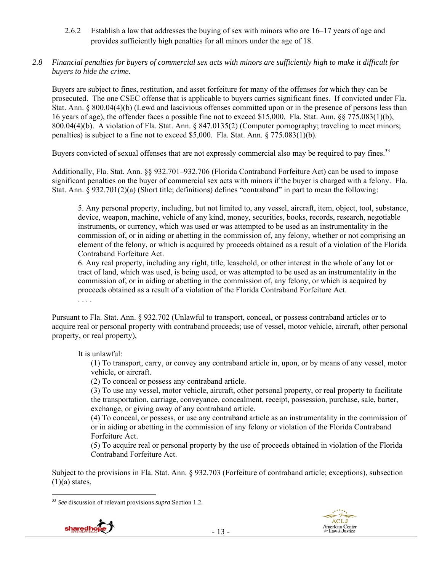- 2.6.2 Establish a law that addresses the buying of sex with minors who are 16–17 years of age and provides sufficiently high penalties for all minors under the age of 18.
- *2.8 Financial penalties for buyers of commercial sex acts with minors are sufficiently high to make it difficult for buyers to hide the crime.*

Buyers are subject to fines, restitution, and asset forfeiture for many of the offenses for which they can be prosecuted. The one CSEC offense that is applicable to buyers carries significant fines. If convicted under Fla. Stat. Ann. § 800.04(4)(b) (Lewd and lascivious offenses committed upon or in the presence of persons less than 16 years of age), the offender faces a possible fine not to exceed \$15,000. Fla. Stat. Ann. §§ 775.083(1)(b), 800.04(4)(b). A violation of Fla. Stat. Ann. § 847.0135(2) (Computer pornography; traveling to meet minors; penalties) is subject to a fine not to exceed \$5,000. Fla. Stat. Ann. § 775.083(1)(b).

Buyers convicted of sexual offenses that are not expressly commercial also may be required to pay fines.<sup>33</sup>

Additionally, Fla. Stat. Ann. §§ 932.701–932.706 (Florida Contraband Forfeiture Act) can be used to impose significant penalties on the buyer of commercial sex acts with minors if the buyer is charged with a felony. Fla. Stat. Ann. § 932.701(2)(a) (Short title; definitions) defines "contraband" in part to mean the following:

5. Any personal property, including, but not limited to, any vessel, aircraft, item, object, tool, substance, device, weapon, machine, vehicle of any kind, money, securities, books, records, research, negotiable instruments, or currency, which was used or was attempted to be used as an instrumentality in the commission of, or in aiding or abetting in the commission of, any felony, whether or not comprising an element of the felony, or which is acquired by proceeds obtained as a result of a violation of the Florida Contraband Forfeiture Act.

6. Any real property, including any right, title, leasehold, or other interest in the whole of any lot or tract of land, which was used, is being used, or was attempted to be used as an instrumentality in the commission of, or in aiding or abetting in the commission of, any felony, or which is acquired by proceeds obtained as a result of a violation of the Florida Contraband Forfeiture Act.

. . . .

Pursuant to Fla. Stat. Ann. § 932.702 (Unlawful to transport, conceal, or possess contraband articles or to acquire real or personal property with contraband proceeds; use of vessel, motor vehicle, aircraft, other personal property, or real property),

It is unlawful:

(1) To transport, carry, or convey any contraband article in, upon, or by means of any vessel, motor vehicle, or aircraft.

(2) To conceal or possess any contraband article.

(3) To use any vessel, motor vehicle, aircraft, other personal property, or real property to facilitate the transportation, carriage, conveyance, concealment, receipt, possession, purchase, sale, barter, exchange, or giving away of any contraband article.

(4) To conceal, or possess, or use any contraband article as an instrumentality in the commission of or in aiding or abetting in the commission of any felony or violation of the Florida Contraband Forfeiture Act.

(5) To acquire real or personal property by the use of proceeds obtained in violation of the Florida Contraband Forfeiture Act.

Subject to the provisions in Fla. Stat. Ann. § 932.703 (Forfeiture of contraband article; exceptions), subsection  $(1)(a)$  states,

 $\overline{a}$ <sup>33</sup> *See* discussion of relevant provisions *supra* Section 1.2.

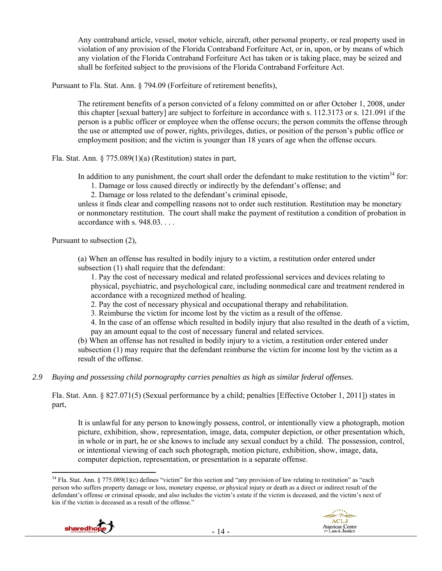Any contraband article, vessel, motor vehicle, aircraft, other personal property, or real property used in violation of any provision of the Florida Contraband Forfeiture Act, or in, upon, or by means of which any violation of the Florida Contraband Forfeiture Act has taken or is taking place, may be seized and shall be forfeited subject to the provisions of the Florida Contraband Forfeiture Act.

Pursuant to Fla. Stat. Ann. § 794.09 (Forfeiture of retirement benefits),

The retirement benefits of a person convicted of a felony committed on or after October 1, 2008, under this chapter [sexual battery] are subject to forfeiture in accordance with s. 112.3173 or s. 121.091 if the person is a public officer or employee when the offense occurs; the person commits the offense through the use or attempted use of power, rights, privileges, duties, or position of the person's public office or employment position; and the victim is younger than 18 years of age when the offense occurs.

Fla. Stat. Ann. § 775.089(1)(a) (Restitution) states in part,

In addition to any punishment, the court shall order the defendant to make restitution to the victim<sup>34</sup> for:

- 1. Damage or loss caused directly or indirectly by the defendant's offense; and
- 2. Damage or loss related to the defendant's criminal episode,

unless it finds clear and compelling reasons not to order such restitution. Restitution may be monetary or nonmonetary restitution. The court shall make the payment of restitution a condition of probation in accordance with s. 948.03. . . .

Pursuant to subsection (2),

(a) When an offense has resulted in bodily injury to a victim, a restitution order entered under subsection (1) shall require that the defendant:

1. Pay the cost of necessary medical and related professional services and devices relating to physical, psychiatric, and psychological care, including nonmedical care and treatment rendered in accordance with a recognized method of healing.

2. Pay the cost of necessary physical and occupational therapy and rehabilitation.

3. Reimburse the victim for income lost by the victim as a result of the offense.

4. In the case of an offense which resulted in bodily injury that also resulted in the death of a victim, pay an amount equal to the cost of necessary funeral and related services.

(b) When an offense has not resulted in bodily injury to a victim, a restitution order entered under subsection (1) may require that the defendant reimburse the victim for income lost by the victim as a result of the offense.

*2.9 Buying and possessing child pornography carries penalties as high as similar federal offenses.* 

Fla. Stat. Ann. § 827.071(5) (Sexual performance by a child; penalties [Effective October 1, 2011]) states in part,

It is unlawful for any person to knowingly possess, control, or intentionally view a photograph, motion picture, exhibition, show, representation, image, data, computer depiction, or other presentation which, in whole or in part, he or she knows to include any sexual conduct by a child. The possession, control, or intentional viewing of each such photograph, motion picture, exhibition, show, image, data, computer depiction, representation, or presentation is a separate offense.

<sup>&</sup>lt;sup>34</sup> Fla. Stat. Ann. § 775.089(1)(c) defines "victim" for this section and "any provision of law relating to restitution" as "each person who suffers property damage or loss, monetary expense, or physical injury or death as a direct or indirect result of the defendant's offense or criminal episode, and also includes the victim's estate if the victim is deceased, and the victim's next of kin if the victim is deceased as a result of the offense."

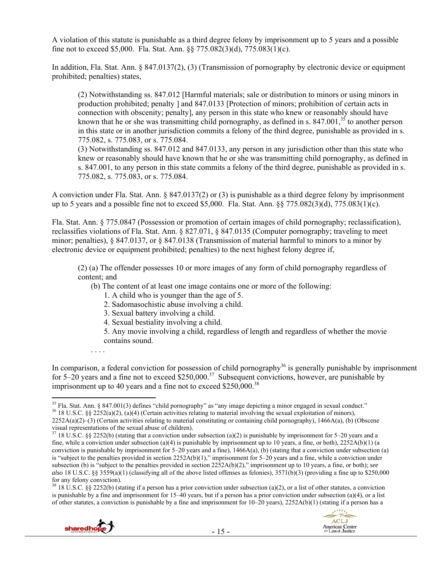A violation of this statute is punishable as a third degree felony by imprisonment up to 5 years and a possible fine not to exceed \$5,000. Fla. Stat. Ann. §§ 775.082(3)(d), 775.083(1)(c).

In addition, Fla. Stat. Ann. § 847.0137(2), (3) (Transmission of pornography by electronic device or equipment prohibited; penalties) states,

(2) Notwithstanding ss. 847.012 [Harmful materials; sale or distribution to minors or using minors in production prohibited; penalty ] and 847.0133 [Protection of minors; prohibition of certain acts in connection with obscenity; penalty], any person in this state who knew or reasonably should have known that he or she was transmitting child pornography, as defined in s.  $847.001<sup>35</sup>$  to another person in this state or in another jurisdiction commits a felony of the third degree, punishable as provided in s. 775.082, s. 775.083, or s. 775.084.

(3) Notwithstanding ss. 847.012 and 847.0133, any person in any jurisdiction other than this state who knew or reasonably should have known that he or she was transmitting child pornography, as defined in s. 847.001, to any person in this state commits a felony of the third degree, punishable as provided in s. 775.082, s. 775.083, or s. 775.084.

A conviction under Fla. Stat. Ann. § 847.0137(2) or (3) is punishable as a third degree felony by imprisonment up to 5 years and a possible fine not to exceed \$5,000. Fla. Stat. Ann. §§ 775.082(3)(d), 775.083(1)(c).

Fla. Stat. Ann. § 775.0847 (Possession or promotion of certain images of child pornography; reclassification), reclassifies violations of Fla. Stat. Ann. § 827.071, § 847.0135 (Computer pornography; traveling to meet minor; penalties), § 847.0137, or § 847.0138 (Transmission of material harmful to minors to a minor by electronic device or equipment prohibited; penalties) to the next highest felony degree if,

(2) (a) The offender possesses 10 or more images of any form of child pornography regardless of content; and

(b) The content of at least one image contains one or more of the following:

- 1. A child who is younger than the age of 5.
- 2. Sadomasochistic abuse involving a child.
- 3. Sexual battery involving a child.
- 4. Sexual bestiality involving a child.

5. Any movie involving a child, regardless of length and regardless of whether the movie contains sound.

In comparison, a federal conviction for possession of child pornography<sup>36</sup> is generally punishable by imprisonment for 5–20 years and a fine not to exceed  $$250,000.<sup>37</sup>$  Subsequent convictions, however, are punishable by imprisonment up to 40 years and a fine not to exceed  $$250,000$ <sup>38</sup>

 $38\,18\,$  U.S.C. §§ 2252(b) (stating if a person has a prior conviction under subsection (a)(2), or a list of other statutes, a conviction is punishable by a fine and imprisonment for 15–40 years, but if a person has a prior conviction under subsection (a)(4), or a list of other statutes, a conviction is punishable by a fine and imprisonment for  $10-20$  years),  $2252A(b)(1)$  (stating if a person has a



. . . .



 $35$  Fla. Stat. Ann. § 847.001(3) defines "child pornography" as "any image depicting a minor engaged in sexual conduct." <sup>36</sup> 18 U.S.C. §§ 2252(a)(2), (a)(4) (Certain activities relating to material involving the sexual exploitation of minors),

 $2252A(a)(2)$ –(3) (Certain activities relating to material constituting or containing child pornography), 1466A(a), (b) (Obscene visual representations of the sexual abuse of children).

 $37$  18 U.S.C. §§ 2252(b) (stating that a conviction under subsection (a)(2) is punishable by imprisonment for 5–20 years and a fine, while a conviction under subsection (a)(4) is punishable by imprisonment up to 10 years, a fine, or both),  $2252A(b)(1)$  (a conviction is punishable by imprisonment for  $5-20$  years and a fine),  $1466A(a)$ , (b) (stating that a conviction under subsection (a) is "subject to the penalties provided in section 2252A(b)(1)," imprisonment for 5–20 years and a fine, while a conviction under subsection (b) is "subject to the penalties provided in section 2252A(b)(2)," imprisonment up to 10 years, a fine, or both); *see also* 18 U.S.C. §§ 3559(a)(1) (classifying all of the above listed offenses as felonies), 3571(b)(3) (providing a fine up to \$250,000 for any felony conviction).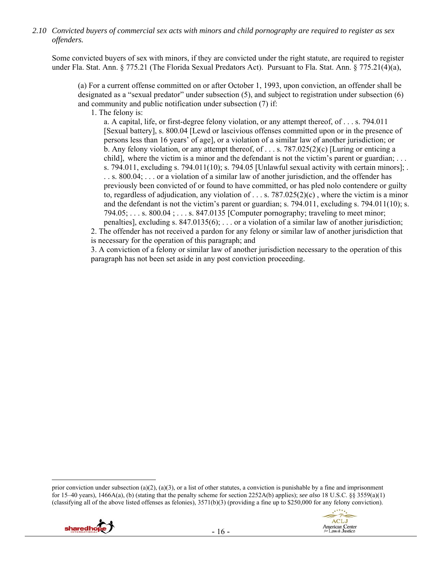*2.10 Convicted buyers of commercial sex acts with minors and child pornography are required to register as sex offenders.* 

Some convicted buyers of sex with minors, if they are convicted under the right statute, are required to register under Fla. Stat. Ann. § 775.21 (The Florida Sexual Predators Act). Pursuant to Fla. Stat. Ann. § 775.21(4)(a),

(a) For a current offense committed on or after October 1, 1993, upon conviction, an offender shall be designated as a "sexual predator" under subsection (5), and subject to registration under subsection (6) and community and public notification under subsection (7) if:

1. The felony is:

a. A capital, life, or first-degree felony violation, or any attempt thereof, of . . . s. 794.011 [Sexual battery], s. 800.04 [Lewd or lascivious offenses committed upon or in the presence of persons less than 16 years' of age], or a violation of a similar law of another jurisdiction; or b. Any felony violation, or any attempt thereof, of ... s.  $787.025(2)(c)$  [Luring or enticing a child], where the victim is a minor and the defendant is not the victim's parent or guardian; ... s. 794.011, excluding s. 794.011(10); s. 794.05 [Unlawful sexual activity with certain minors]; . . . s. 800.04; . . . or a violation of a similar law of another jurisdiction, and the offender has previously been convicted of or found to have committed, or has pled nolo contendere or guilty to, regardless of adjudication, any violation of  $\dots s$ . 787.025(2)(c), where the victim is a minor and the defendant is not the victim's parent or guardian; s. 794.011, excluding s. 794.011(10); s. 794.05; . . . s. 800.04 ; . . . s. 847.0135 [Computer pornography; traveling to meet minor; penalties], excluding s. 847.0135(6); . . . or a violation of a similar law of another jurisdiction;

2. The offender has not received a pardon for any felony or similar law of another jurisdiction that is necessary for the operation of this paragraph; and

3. A conviction of a felony or similar law of another jurisdiction necessary to the operation of this paragraph has not been set aside in any post conviction proceeding.

prior conviction under subsection (a)(2), (a)(3), or a list of other statutes, a conviction is punishable by a fine and imprisonment for 15–40 years), 1466A(a), (b) (stating that the penalty scheme for section 2252A(b) applies); *see also* 18 U.S.C. §§ 3559(a)(1) (classifying all of the above listed offenses as felonies),  $3571(b)(3)$  (providing a fine up to \$250,000 for any felony conviction).

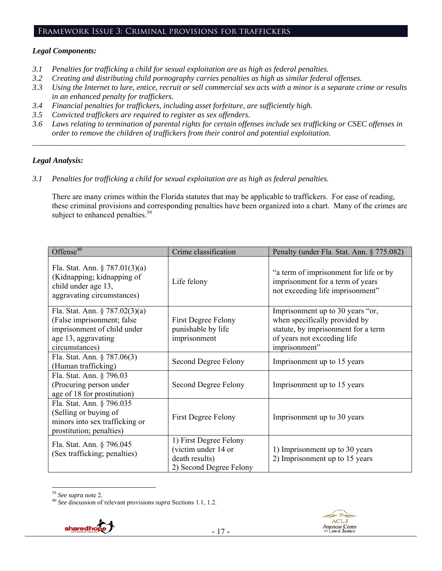## Framework Issue 3: Criminal provisions for traffickers

#### *Legal Components:*

- *3.1 Penalties for trafficking a child for sexual exploitation are as high as federal penalties.*
- *3.2 Creating and distributing child pornography carries penalties as high as similar federal offenses.*
- *3.3 Using the Internet to lure, entice, recruit or sell commercial sex acts with a minor is a separate crime or results in an enhanced penalty for traffickers.*
- *3.4 Financial penalties for traffickers, including asset forfeiture, are sufficiently high.*
- *3.5 Convicted traffickers are required to register as sex offenders.*
- *3.6 Laws relating to termination of parental rights for certain offenses include sex trafficking or CSEC offenses in order to remove the children of traffickers from their control and potential exploitation. \_\_\_\_\_\_\_\_\_\_\_\_\_\_\_\_\_\_\_\_\_\_\_\_\_\_\_\_\_\_\_\_\_\_\_\_\_\_\_\_\_\_\_\_\_\_\_\_\_\_\_\_\_\_\_\_\_\_\_\_\_\_\_\_\_\_\_\_\_\_\_\_\_\_\_\_\_\_\_\_\_\_\_\_\_\_\_\_\_\_\_\_\_\_*

## *Legal Analysis:*

*3.1 Penalties for trafficking a child for sexual exploitation are as high as federal penalties.* 

There are many crimes within the Florida statutes that may be applicable to traffickers. For ease of reading, these criminal provisions and corresponding penalties have been organized into a chart. Many of the crimes are subject to enhanced penalties.<sup>39</sup>

| Offense $40$                                                                                                                            | Crime classification                                                                       | Penalty (under Fla. Stat. Ann. § 775.082)                                                                                                                |
|-----------------------------------------------------------------------------------------------------------------------------------------|--------------------------------------------------------------------------------------------|----------------------------------------------------------------------------------------------------------------------------------------------------------|
| Fla. Stat. Ann. $\S 787.01(3)(a)$<br>(Kidnapping; kidnapping of<br>child under age 13,<br>aggravating circumstances)                    | Life felony                                                                                | "a term of imprisonment for life or by<br>imprisonment for a term of years<br>not exceeding life imprisonment"                                           |
| Fla. Stat. Ann. $\S 787.02(3)(a)$<br>(False imprisonment; false<br>imprisonment of child under<br>age 13, aggravating<br>circumstances) | First Degree Felony<br>punishable by life<br>imprisonment                                  | Imprisonment up to 30 years "or,<br>when specifically provided by<br>statute, by imprisonment for a term<br>of years not exceeding life<br>imprisonment" |
| Fla. Stat. Ann. § 787.06(3)<br>(Human trafficking)                                                                                      | Second Degree Felony                                                                       | Imprisonment up to 15 years                                                                                                                              |
| Fla. Stat. Ann. § 796.03<br>(Procuring person under<br>age of 18 for prostitution)                                                      | Second Degree Felony                                                                       | Imprisonment up to 15 years                                                                                                                              |
| Fla. Stat. Ann. § 796.035<br>(Selling or buying of<br>minors into sex trafficking or<br>prostitution; penalties)                        | <b>First Degree Felony</b>                                                                 | Imprisonment up to 30 years                                                                                                                              |
| Fla. Stat. Ann. § 796.045<br>(Sex trafficking; penalties)                                                                               | 1) First Degree Felony<br>(victim under 14 or<br>death results)<br>2) Second Degree Felony | 1) Imprisonment up to 30 years<br>2) Imprisonment up to 15 years                                                                                         |

 $^{39}$  See supra note 2.

<sup>&</sup>lt;sup>40</sup> See discussion of relevant provisions *supra* Sections 1.1, 1.2.

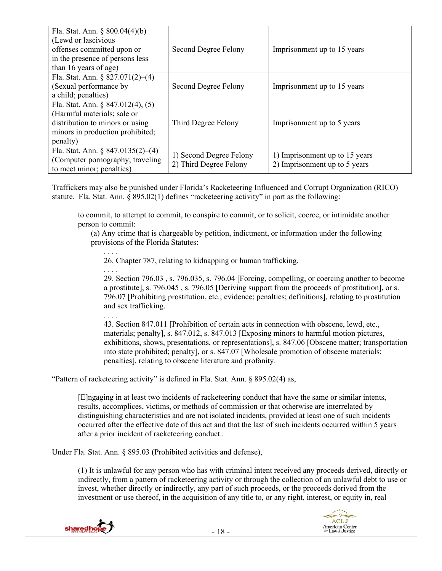| Fla. Stat. Ann. $\S 800.04(4)(b)$<br>(Lewd or lascivious<br>offenses committed upon or<br>in the presence of persons less<br>than 16 years of age)    | Second Degree Felony                              | Imprisonment up to 15 years                                     |
|-------------------------------------------------------------------------------------------------------------------------------------------------------|---------------------------------------------------|-----------------------------------------------------------------|
| Fla. Stat. Ann. § $827.071(2)–(4)$<br>(Sexual performance by)<br>a child; penalties)                                                                  | Second Degree Felony                              | Imprisonment up to 15 years                                     |
| Fla. Stat. Ann. § 847.012(4), $(5)$<br>(Harmful materials; sale or<br>distribution to minors or using<br>minors in production prohibited;<br>penalty) | Third Degree Felony                               | Imprisonment up to 5 years                                      |
| Fla. Stat. Ann. $\S 847.0135(2)–(4)$<br>(Computer pornography; traveling)<br>to meet minor; penalties)                                                | 1) Second Degree Felony<br>2) Third Degree Felony | 1) Imprisonment up to 15 years<br>2) Imprisonment up to 5 years |

Traffickers may also be punished under Florida's Racketeering Influenced and Corrupt Organization (RICO) statute. Fla. Stat. Ann. § 895.02(1) defines "racketeering activity" in part as the following:

to commit, to attempt to commit, to conspire to commit, or to solicit, coerce, or intimidate another person to commit:

(a) Any crime that is chargeable by petition, indictment, or information under the following provisions of the Florida Statutes:

. . . . 26. Chapter 787, relating to kidnapping or human trafficking.

. . . . 29. Section 796.03 , s. 796.035, s. 796.04 [Forcing, compelling, or coercing another to become a prostitute], s. 796.045 , s. 796.05 [Deriving support from the proceeds of prostitution], or s. 796.07 [Prohibiting prostitution, etc.; evidence; penalties; definitions], relating to prostitution and sex trafficking.

. . . . 43. Section 847.011 [Prohibition of certain acts in connection with obscene, lewd, etc., materials; penalty], s. 847.012, s. 847.013 [Exposing minors to harmful motion pictures, exhibitions, shows, presentations, or representations], s. 847.06 [Obscene matter; transportation into state prohibited; penalty], or s. 847.07 [Wholesale promotion of obscene materials; penalties], relating to obscene literature and profanity.

"Pattern of racketeering activity" is defined in Fla. Stat. Ann. § 895.02(4) as,

[E]ngaging in at least two incidents of racketeering conduct that have the same or similar intents, results, accomplices, victims, or methods of commission or that otherwise are interrelated by distinguishing characteristics and are not isolated incidents, provided at least one of such incidents occurred after the effective date of this act and that the last of such incidents occurred within 5 years after a prior incident of racketeering conduct..

Under Fla. Stat. Ann. § 895.03 (Prohibited activities and defense),

(1) It is unlawful for any person who has with criminal intent received any proceeds derived, directly or indirectly, from a pattern of racketeering activity or through the collection of an unlawful debt to use or invest, whether directly or indirectly, any part of such proceeds, or the proceeds derived from the investment or use thereof, in the acquisition of any title to, or any right, interest, or equity in, real



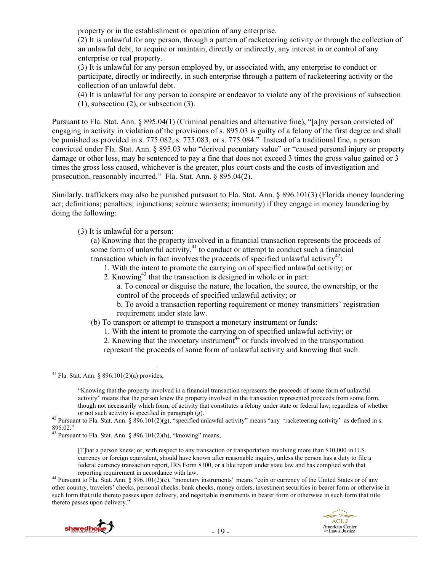property or in the establishment or operation of any enterprise.

(2) It is unlawful for any person, through a pattern of racketeering activity or through the collection of an unlawful debt, to acquire or maintain, directly or indirectly, any interest in or control of any enterprise or real property.

(3) It is unlawful for any person employed by, or associated with, any enterprise to conduct or participate, directly or indirectly, in such enterprise through a pattern of racketeering activity or the collection of an unlawful debt.

(4) It is unlawful for any person to conspire or endeavor to violate any of the provisions of subsection (1), subsection (2), or subsection (3).

Pursuant to Fla. Stat. Ann. § 895.04(1) (Criminal penalties and alternative fine), "[a]ny person convicted of engaging in activity in violation of the provisions of s. 895.03 is guilty of a felony of the first degree and shall be punished as provided in s. 775.082, s. 775.083, or s. 775.084." Instead of a traditional fine, a person convicted under Fla. Stat. Ann. § 895.03 who "derived pecuniary value" or "caused personal injury or property damage or other loss, may be sentenced to pay a fine that does not exceed 3 times the gross value gained or 3 times the gross loss caused, whichever is the greater, plus court costs and the costs of investigation and prosecution, reasonably incurred." Fla. Stat. Ann. § 895.04(2).

Similarly, traffickers may also be punished pursuant to Fla. Stat. Ann. § 896.101(3) (Florida money laundering act; definitions; penalties; injunctions; seizure warrants; immunity) if they engage in money laundering by doing the following:

(3) It is unlawful for a person:

(a) Knowing that the property involved in a financial transaction represents the proceeds of some form of unlawful activity, $41$  to conduct or attempt to conduct such a financial transaction which in fact involves the proceeds of specified unlawful activity<sup>42</sup>:

- 1. With the intent to promote the carrying on of specified unlawful activity; or
- 2. Knowing<sup>43</sup> that the transaction is designed in whole or in part:

a. To conceal or disguise the nature, the location, the source, the ownership, or the control of the proceeds of specified unlawful activity; or

b. To avoid a transaction reporting requirement or money transmitters' registration requirement under state law.

- (b) To transport or attempt to transport a monetary instrument or funds:
	- 1. With the intent to promote the carrying on of specified unlawful activity; or

2. Knowing that the monetary instrument $^{44}$  or funds involved in the transportation represent the proceeds of some form of unlawful activity and knowing that such

reporting requirement in accordance with law. 44 Pursuant to Fla. Stat. Ann. § 896.101(2)(e), "monetary instruments" means "coin or currency of the United States or of any other country, travelers' checks, personal checks, bank checks, money orders, investment securities in bearer form or otherwise in such form that title thereto passes upon delivery, and negotiable instruments in bearer form or otherwise in such form that title thereto passes upon delivery."



 $\overline{a}$  $41$  Fla. Stat. Ann. § 896.101(2)(a) provides.

<sup>&</sup>quot;Knowing that the property involved in a financial transaction represents the proceeds of some form of unlawful activity" means that the person knew the property involved in the transaction represented proceeds from some form, though not necessarily which form, of activity that constitutes a felony under state or federal law, regardless of whether

or not such activity is specified in paragraph (g).<br><sup>42</sup> Pursuant to Fla. Stat. Ann. § 896.101(2)(g), "specified unlawful activity" means "any 'racketeering activity' as defined in s. 895.02."

<sup>&</sup>lt;sup>43</sup> Pursuant to Fla. Stat. Ann. § 896.101(2)(h), "knowing" means,

<sup>[</sup>T]hat a person knew; or, with respect to any transaction or transportation involving more than \$10,000 in U.S. currency or foreign equivalent, should have known after reasonable inquiry, unless the person has a duty to file a federal currency transaction report, IRS Form 8300, or a like report under state law and has complied with that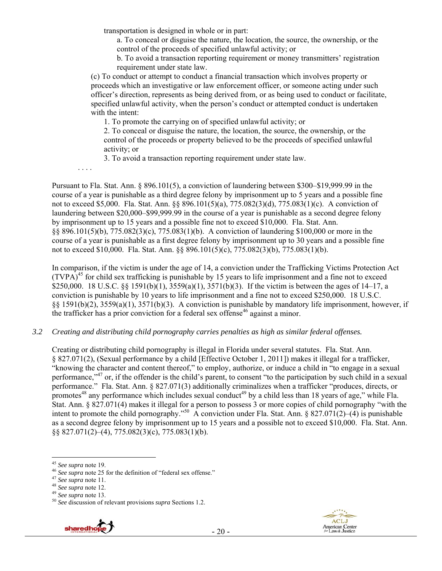transportation is designed in whole or in part:

a. To conceal or disguise the nature, the location, the source, the ownership, or the control of the proceeds of specified unlawful activity; or

b. To avoid a transaction reporting requirement or money transmitters' registration requirement under state law.

(c) To conduct or attempt to conduct a financial transaction which involves property or proceeds which an investigative or law enforcement officer, or someone acting under such officer's direction, represents as being derived from, or as being used to conduct or facilitate, specified unlawful activity, when the person's conduct or attempted conduct is undertaken with the intent:

1. To promote the carrying on of specified unlawful activity; or

2. To conceal or disguise the nature, the location, the source, the ownership, or the control of the proceeds or property believed to be the proceeds of specified unlawful activity; or

3. To avoid a transaction reporting requirement under state law.

. . . .

Pursuant to Fla. Stat. Ann. § 896.101(5), a conviction of laundering between \$300–\$19,999.99 in the course of a year is punishable as a third degree felony by imprisonment up to 5 years and a possible fine not to exceed \$5,000. Fla. Stat. Ann. §§ 896.101(5)(a), 775.082(3)(d), 775.083(1)(c). A conviction of laundering between \$20,000–\$99,999.99 in the course of a year is punishable as a second degree felony by imprisonment up to 15 years and a possible fine not to exceed \$10,000. Fla. Stat. Ann. §§ 896.101(5)(b), 775.082(3)(c), 775.083(1)(b). A conviction of laundering \$100,000 or more in the course of a year is punishable as a first degree felony by imprisonment up to 30 years and a possible fine not to exceed \$10,000. Fla. Stat. Ann. §§ 896.101(5)(c), 775.082(3)(b), 775.083(1)(b).

In comparison, if the victim is under the age of 14, a conviction under the Trafficking Victims Protection Act  $(TVPA)<sup>45</sup>$  for child sex trafficking is punishable by 15 years to life imprisonment and a fine not to exceed \$250,000. 18 U.S.C. §§ 1591(b)(1),  $3559(a)(1)$ ,  $3571(b)(3)$ . If the victim is between the ages of 14–17, a conviction is punishable by 10 years to life imprisonment and a fine not to exceed \$250,000. 18 U.S.C. §§ 1591(b)(2), 3559(a)(1), 3571(b)(3). A conviction is punishable by mandatory life imprisonment, however, if the trafficker has a prior conviction for a federal sex offense<sup>46</sup> against a minor.

*3.2 Creating and distributing child pornography carries penalties as high as similar federal offenses.* 

Creating or distributing child pornography is illegal in Florida under several statutes. Fla. Stat. Ann. § 827.071(2), (Sexual performance by a child [Effective October 1, 2011]) makes it illegal for a trafficker, "knowing the character and content thereof," to employ, authorize, or induce a child in "to engage in a sexual performance,"47 or, if the offender is the child's parent, to consent "to the participation by such child in a sexual performance." Fla. Stat. Ann. § 827.071(3) additionally criminalizes when a trafficker "produces, directs, or promotes<sup>48</sup> any performance which includes sexual conduct<sup>49</sup> by a child less than 18 years of age," while Fla. Stat. Ann. § 827.071(4) makes it illegal for a person to possess 3 or more copies of child pornography "with the intent to promote the child pornography."<sup>50</sup> A conviction under Fla. Stat. Ann. § 827.071(2)–(4) is punishable as a second degree felony by imprisonment up to 15 years and a possible not to exceed \$10,000. Fla. Stat. Ann. §§ 827.071(2)–(4), 775.082(3)(c), 775.083(1)(b).





<sup>&</sup>lt;sup>45</sup> See supra note 19.

<sup>&</sup>lt;sup>46</sup> See supra note 25 for the definition of "federal sex offense."<br>
<sup>47</sup> See supra note 11.<br>
<sup>48</sup> See supra note 12.<br>
<sup>49</sup> See supra note 13.<br>
<sup>50</sup> See discussion of relevant provisions *supra* Sections 1.2.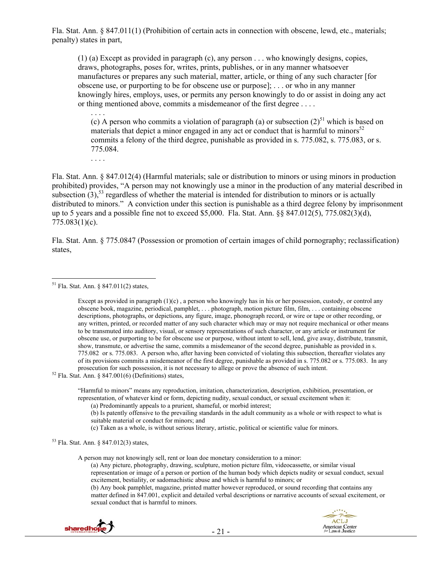Fla. Stat. Ann. § 847.011(1) (Prohibition of certain acts in connection with obscene, lewd, etc., materials; penalty) states in part,

(1) (a) Except as provided in paragraph (c), any person . . . who knowingly designs, copies, draws, photographs, poses for, writes, prints, publishes, or in any manner whatsoever manufactures or prepares any such material, matter, article, or thing of any such character [for obscene use, or purporting to be for obscene use or purpose]; . . . or who in any manner knowingly hires, employs, uses, or permits any person knowingly to do or assist in doing any act or thing mentioned above, commits a misdemeanor of the first degree . . . .

. . . . (c) A person who commits a violation of paragraph (a) or subsection  $(2)^{51}$  which is based on materials that depict a minor engaged in any act or conduct that is harmful to minors $52$ commits a felony of the third degree, punishable as provided in s. 775.082, s. 775.083, or s. 775.084.

. . . .

Fla. Stat. Ann. § 847.012(4) (Harmful materials; sale or distribution to minors or using minors in production prohibited) provides, "A person may not knowingly use a minor in the production of any material described in subsection  $(3)$ ,<sup>53</sup> regardless of whether the material is intended for distribution to minors or is actually distributed to minors." A conviction under this section is punishable as a third degree felony by imprisonment up to 5 years and a possible fine not to exceed \$5,000. Fla. Stat. Ann. §§ 847.012(5), 775.082(3)(d), 775.083(1)(c).

Fla. Stat. Ann. § 775.0847 (Possession or promotion of certain images of child pornography; reclassification) states,

 $\overline{a}$ 

"Harmful to minors" means any reproduction, imitation, characterization, description, exhibition, presentation, or representation, of whatever kind or form, depicting nudity, sexual conduct, or sexual excitement when it:

(a) Predominantly appeals to a prurient, shameful, or morbid interest;

(b) Is patently offensive to the prevailing standards in the adult community as a whole or with respect to what is suitable material or conduct for minors; and

(c) Taken as a whole, is without serious literary, artistic, political or scientific value for minors.

53 Fla. Stat. Ann. § 847.012(3) states,

A person may not knowingly sell, rent or loan doe monetary consideration to a minor:

(a) Any picture, photography, drawing, sculpture, motion picture film, videocassette, or similar visual representation or image of a person or portion of the human body which depicts nudity or sexual conduct, sexual excitement, bestiality, or sadomachistic abuse and which is harmful to minors; or

(b) Any book pamphlet, magazine, printed matter however reproduced, or sound recording that contains any matter defined in 847.001, explicit and detailed verbal descriptions or narrative accounts of sexual excitement, or sexual conduct that is harmful to minors.



<sup>51</sup> Fla. Stat. Ann. § 847.011(2) states,

Except as provided in paragraph  $(1)(c)$ , a person who knowingly has in his or her possession, custody, or control any obscene book, magazine, periodical, pamphlet, . . . photograph, motion picture film, film, . . . containing obscene descriptions, photographs, or depictions, any figure, image, phonograph record, or wire or tape or other recording, or any written, printed, or recorded matter of any such character which may or may not require mechanical or other means to be transmuted into auditory, visual, or sensory representations of such character, or any article or instrument for obscene use, or purporting to be for obscene use or purpose, without intent to sell, lend, give away, distribute, transmit, show, transmute, or advertise the same, commits a misdemeanor of the second degree, punishable as provided in s. 775.082 or s. 775.083. A person who, after having been convicted of violating this subsection, thereafter violates any of its provisions commits a misdemeanor of the first degree, punishable as provided in s. 775.082 or s. 775.083. In any prosecution for such possession, it is not necessary to allege or prove the absence of such intent. <sup>52</sup> Fla. Stat. Ann. § 847.001(6) (Definitions) states,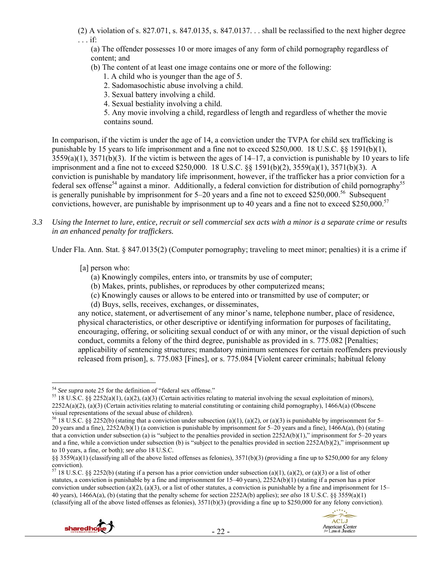(2) A violation of s. 827.071, s. 847.0135, s. 847.0137. . . shall be reclassified to the next higher degree . . . if:

(a) The offender possesses 10 or more images of any form of child pornography regardless of content; and

- (b) The content of at least one image contains one or more of the following:
	- 1. A child who is younger than the age of 5.
	- 2. Sadomasochistic abuse involving a child.
	- 3. Sexual battery involving a child.
	- 4. Sexual bestiality involving a child.

5. Any movie involving a child, regardless of length and regardless of whether the movie contains sound.

In comparison, if the victim is under the age of 14, a conviction under the TVPA for child sex trafficking is punishable by 15 years to life imprisonment and a fine not to exceed \$250,000. 18 U.S.C. §§ 1591(b)(1),  $3559(a)(1)$ ,  $3571(b)(3)$ . If the victim is between the ages of  $14-17$ , a conviction is punishable by 10 years to life imprisonment and a fine not to exceed \$250,000. 18 U.S.C. §§ 1591(b)(2), 3559(a)(1), 3571(b)(3). A conviction is punishable by mandatory life imprisonment, however, if the trafficker has a prior conviction for a federal sex offense<sup>54</sup> against a minor. Additionally, a federal conviction for distribution of child pornography<sup>55</sup> is generally punishable by imprisonment for  $5-20$  years and a fine not to exceed \$250,000.<sup>56</sup> Subsequent convictions, however, are punishable by imprisonment up to 40 years and a fine not to exceed \$250,000.<sup>57</sup>

*3.3 Using the Internet to lure, entice, recruit or sell commercial sex acts with a minor is a separate crime or results in an enhanced penalty for traffickers.* 

Under Fla. Ann. Stat. § 847.0135(2) (Computer pornography; traveling to meet minor; penalties) it is a crime if

- [a] person who:
	- (a) Knowingly compiles, enters into, or transmits by use of computer;
	- (b) Makes, prints, publishes, or reproduces by other computerized means;
	- (c) Knowingly causes or allows to be entered into or transmitted by use of computer; or
	- (d) Buys, sells, receives, exchanges, or disseminates,

any notice, statement, or advertisement of any minor's name, telephone number, place of residence, physical characteristics, or other descriptive or identifying information for purposes of facilitating, encouraging, offering, or soliciting sexual conduct of or with any minor, or the visual depiction of such conduct, commits a felony of the third degree, punishable as provided in s. 775.082 [Penalties; applicability of sentencing structures; mandatory minimum sentences for certain reoffenders previously released from prison], s. 775.083 [Fines], or s. 775.084 [Violent career criminals; habitual felony

<sup>&</sup>lt;sup>57</sup> 18 U.S.C. §§ 2252(b) (stating if a person has a prior conviction under subsection (a)(1), (a)(2), or (a)(3) or a list of other statutes, a conviction is punishable by a fine and imprisonment for 15–40 years), 2252A(b)(1) (stating if a person has a prior conviction under subsection (a)(2), (a)(3), or a list of other statutes, a conviction is punishable by a fine and imprisonment for  $15-$ 40 years), 1466A(a), (b) (stating that the penalty scheme for section 2252A(b) applies); *see also* 18 U.S.C. §§ 3559(a)(1) (classifying all of the above listed offenses as felonies), 3571(b)(3) (providing a fine up to \$250,000 for any felony conviction).





 $54$  See supra note 25 for the definition of "federal sex offense."

<sup>&</sup>lt;sup>55</sup> 18 U.S.C. §§ 2252(a)(1), (a)(2), (a)(3) (Certain activities relating to material involving the sexual exploitation of minors),  $2252A(a)(2)$ , (a)(3) (Certain activities relating to material constituting or containing child pornography), 1466A(a) (Obscene visual representations of the sexual abuse of children).

<sup>&</sup>lt;sup>56</sup> 18 U.S.C. §§ 2252(b) (stating that a conviction under subsection (a)(1), (a)(2), or (a)(3) is punishable by imprisonment for 5– 20 years and a fine),  $2252A(b)(1)$  (a conviction is punishable by imprisonment for 5–20 years and a fine),  $1466A(a)$ , (b) (stating that a conviction under subsection (a) is "subject to the penalties provided in section 2252A(b)(1)," imprisonment for 5–20 years and a fine, while a conviction under subsection (b) is "subject to the penalties provided in section  $2252A(b)(2)$ ," imprisonment up to 10 years, a fine, or both); *see also* 18 U.S.C.

<sup>§§ 3559(</sup>a)(1) (classifying all of the above listed offenses as felonies), 3571(b)(3) (providing a fine up to \$250,000 for any felony conviction).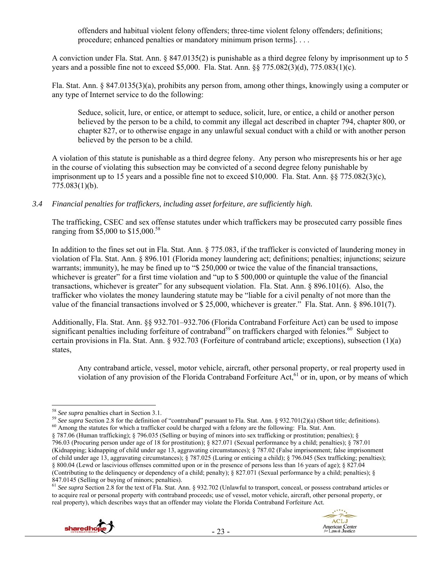offenders and habitual violent felony offenders; three-time violent felony offenders; definitions; procedure; enhanced penalties or mandatory minimum prison terms]. . . .

A conviction under Fla. Stat. Ann. § 847.0135(2) is punishable as a third degree felony by imprisonment up to 5 years and a possible fine not to exceed \$5,000. Fla. Stat. Ann. §§ 775.082(3)(d), 775.083(1)(c).

Fla. Stat. Ann. § 847.0135(3)(a), prohibits any person from, among other things, knowingly using a computer or any type of Internet service to do the following:

Seduce, solicit, lure, or entice, or attempt to seduce, solicit, lure, or entice, a child or another person believed by the person to be a child, to commit any illegal act described in chapter 794, chapter 800, or chapter 827, or to otherwise engage in any unlawful sexual conduct with a child or with another person believed by the person to be a child.

A violation of this statute is punishable as a third degree felony. Any person who misrepresents his or her age in the course of violating this subsection may be convicted of a second degree felony punishable by imprisonment up to 15 years and a possible fine not to exceed \$10,000. Fla. Stat. Ann. §§ 775.082(3)(c), 775.083(1)(b).

*3.4 Financial penalties for traffickers, including asset forfeiture, are sufficiently high.* 

The trafficking, CSEC and sex offense statutes under which traffickers may be prosecuted carry possible fines ranging from \$5,000 to \$15,000.<sup>58</sup>

In addition to the fines set out in Fla. Stat. Ann. § 775.083, if the trafficker is convicted of laundering money in violation of Fla. Stat. Ann. § 896.101 (Florida money laundering act; definitions; penalties; injunctions; seizure warrants; immunity), he may be fined up to "\$ 250,000 or twice the value of the financial transactions, whichever is greater" for a first time violation and "up to \$500,000 or quintuple the value of the financial transactions, whichever is greater" for any subsequent violation. Fla. Stat. Ann. § 896.101(6). Also, the trafficker who violates the money laundering statute may be "liable for a civil penalty of not more than the value of the financial transactions involved or \$ 25,000, whichever is greater." Fla. Stat. Ann. § 896.101(7).

Additionally, Fla. Stat. Ann. §§ 932.701–932.706 (Florida Contraband Forfeiture Act) can be used to impose significant penalties including forfeiture of contraband<sup>59</sup> on traffickers charged with felonies.<sup>60</sup> Subject to certain provisions in Fla. Stat. Ann. § 932.703 (Forfeiture of contraband article; exceptions), subsection (1)(a) states,

Any contraband article, vessel, motor vehicle, aircraft, other personal property, or real property used in violation of any provision of the Florida Contraband Forfeiture Act, <sup>61</sup> or in, upon, or by means of which

<sup>59</sup> See supra Section 2.8 for the definition of "contraband" pursuant to Fla. Stat. Ann. § 932.701(2)(a) (Short title; definitions).<br><sup>60</sup> Among the statutes for which a trafficker could be charged with a felony are the f

<sup>61</sup> *See supra* Section 2.8 for the text of Fla. Stat. Ann. § 932.702 (Unlawful to transport, conceal, or possess contraband articles or to acquire real or personal property with contraband proceeds; use of vessel, motor vehicle, aircraft, other personal property, or real property), which describes ways that an offender may violate the Florida Contraband Forfeiture Act.





 $58$  See supra penalties chart in Section 3.1.

<sup>§ 787.06 (</sup>Human trafficking); § 796.035 (Selling or buying of minors into sex trafficking or prostitution; penalties); § 796.03 (Procuring person under age of 18 for prostitution); § 827.071 (Sexual performance by a child; penalties); § 787.01 (Kidnapping; kidnapping of child under age 13, aggravating circumstances); § 787.02 (False imprisonment; false imprisonment of child under age 13, aggravating circumstances); § 787.025 (Luring or enticing a child); § 796.045 (Sex trafficking; penalties); § 800.04 (Lewd or lascivious offenses committed upon or in the presence of persons less than 16 years of age); § 827.04 (Contributing to the delinquency or dependency of a child; penalty); § 827.071 (Sexual performance by a child; penalties); § 847.0145 (Selling or buying of minors; penalties).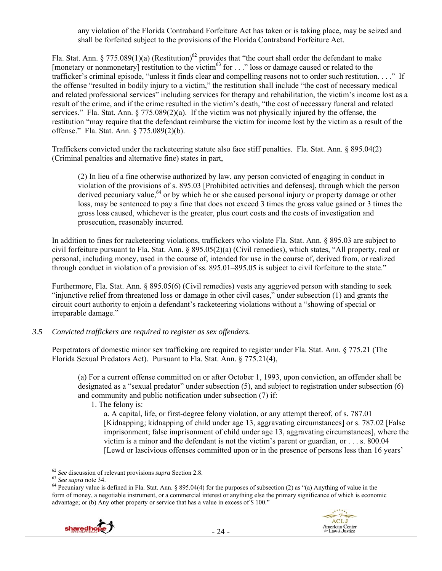any violation of the Florida Contraband Forfeiture Act has taken or is taking place, may be seized and shall be forfeited subject to the provisions of the Florida Contraband Forfeiture Act.

Fla. Stat. Ann. § 775.089(1)(a) (Restitution)<sup>62</sup> provides that "the court shall order the defendant to make [monetary or nonmonetary] restitution to the victim<sup>63</sup> for  $\ldots$  " loss or damage caused or related to the trafficker's criminal episode, "unless it finds clear and compelling reasons not to order such restitution. . . ." If the offense "resulted in bodily injury to a victim," the restitution shall include "the cost of necessary medical and related professional services" including services for therapy and rehabilitation, the victim's income lost as a result of the crime, and if the crime resulted in the victim's death, "the cost of necessary funeral and related services." Fla. Stat. Ann. § 775.089(2)(a). If the victim was not physically injured by the offense, the restitution "may require that the defendant reimburse the victim for income lost by the victim as a result of the offense." Fla. Stat. Ann. § 775.089(2)(b).

Traffickers convicted under the racketeering statute also face stiff penalties. Fla. Stat. Ann. § 895.04(2) (Criminal penalties and alternative fine) states in part,

(2) In lieu of a fine otherwise authorized by law, any person convicted of engaging in conduct in violation of the provisions of s. 895.03 [Prohibited activities and defenses], through which the person derived pecuniary value,  $64$  or by which he or she caused personal injury or property damage or other loss, may be sentenced to pay a fine that does not exceed 3 times the gross value gained or 3 times the gross loss caused, whichever is the greater, plus court costs and the costs of investigation and prosecution, reasonably incurred.

In addition to fines for racketeering violations, traffickers who violate Fla. Stat. Ann. § 895.03 are subject to civil forfeiture pursuant to Fla. Stat. Ann. § 895.05(2)(a) (Civil remedies), which states, "All property, real or personal, including money, used in the course of, intended for use in the course of, derived from, or realized through conduct in violation of a provision of ss. 895.01–895.05 is subject to civil forfeiture to the state."

Furthermore, Fla. Stat. Ann. § 895.05(6) (Civil remedies) vests any aggrieved person with standing to seek "injunctive relief from threatened loss or damage in other civil cases," under subsection (1) and grants the circuit court authority to enjoin a defendant's racketeering violations without a "showing of special or irreparable damage."

#### *3.5 Convicted traffickers are required to register as sex offenders.*

Perpetrators of domestic minor sex trafficking are required to register under Fla. Stat. Ann. § 775.21 (The Florida Sexual Predators Act). Pursuant to Fla. Stat. Ann. § 775.21(4),

(a) For a current offense committed on or after October 1, 1993, upon conviction, an offender shall be designated as a "sexual predator" under subsection (5), and subject to registration under subsection (6) and community and public notification under subsection (7) if:

1. The felony is:

a. A capital, life, or first-degree felony violation, or any attempt thereof, of s. 787.01 [Kidnapping; kidnapping of child under age 13, aggravating circumstances] or s. 787.02 [False imprisonment; false imprisonment of child under age 13, aggravating circumstances], where the victim is a minor and the defendant is not the victim's parent or guardian, or . . . s. 800.04 [Lewd or lascivious offenses committed upon or in the presence of persons less than 16 years'

<sup>&</sup>lt;sup>63</sup> See supra note 34.<br><sup>64</sup> Pecuniary value is defined in Fla. Stat. Ann. § 895.04(4) for the purposes of subsection (2) as "(a) Anything of value in the form of money, a negotiable instrument, or a commercial interest or anything else the primary significance of which is economic advantage; or (b) Any other property or service that has a value in excess of \$ 100."



 $62$  See discussion of relevant provisions supra Section 2.8.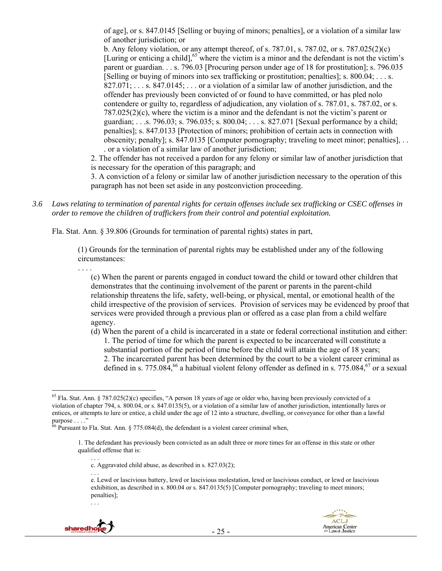of age], or s. 847.0145 [Selling or buying of minors; penalties], or a violation of a similar law of another jurisdiction; or

b. Any felony violation, or any attempt thereof, of s.  $787.01$ , s.  $787.02$ , or s.  $787.025(2)(c)$ [Luring or enticing a child], $65$  where the victim is a minor and the defendant is not the victim's parent or guardian. . . s. 796.03 [Procuring person under age of 18 for prostitution]; s. 796.035 [Selling or buying of minors into sex trafficking or prostitution; penalties]; s. 800.04; . . . s.  $827.071; \ldots$  s.  $847.0145; \ldots$  or a violation of a similar law of another jurisdiction, and the offender has previously been convicted of or found to have committed, or has pled nolo contendere or guilty to, regardless of adjudication, any violation of s. 787.01, s. 787.02, or s. 787.025(2)(c), where the victim is a minor and the defendant is not the victim's parent or guardian; . . .s. 796.03; s. 796.035; s. 800.04; . . . s. 827.071 [Sexual performance by a child; penalties]; s. 847.0133 [Protection of minors; prohibition of certain acts in connection with obscenity; penalty]; s. 847.0135 [Computer pornography; traveling to meet minor; penalties], . . . or a violation of a similar law of another jurisdiction;

2. The offender has not received a pardon for any felony or similar law of another jurisdiction that is necessary for the operation of this paragraph; and

3. A conviction of a felony or similar law of another jurisdiction necessary to the operation of this paragraph has not been set aside in any postconviction proceeding.

*3.6 Laws relating to termination of parental rights for certain offenses include sex trafficking or CSEC offenses in order to remove the children of traffickers from their control and potential exploitation.* 

Fla. Stat. Ann. § 39.806 (Grounds for termination of parental rights) states in part,

(1) Grounds for the termination of parental rights may be established under any of the following circumstances:

(c) When the parent or parents engaged in conduct toward the child or toward other children that demonstrates that the continuing involvement of the parent or parents in the parent-child relationship threatens the life, safety, well-being, or physical, mental, or emotional health of the child irrespective of the provision of services. Provision of services may be evidenced by proof that services were provided through a previous plan or offered as a case plan from a child welfare agency.

(d) When the parent of a child is incarcerated in a state or federal correctional institution and either: 1. The period of time for which the parent is expected to be incarcerated will constitute a substantial portion of the period of time before the child will attain the age of 18 years; 2. The incarcerated parent has been determined by the court to be a violent career criminal as defined in s. 775.084,<sup>66</sup> a habitual violent felony offender as defined in s. 775.084,<sup>67</sup> or a sexual

<sup>. . .</sup>  e. Lewd or lascivious battery, lewd or lascivious molestation, lewd or lascivious conduct, or lewd or lascivious exhibition, as described in s. 800.04 or s. 847.0135(5) [Computer pornography; traveling to meet minors; penalties];



. . .



 $\overline{a}$ <sup>65</sup> Fla. Stat. Ann. § 787.025(2)(c) specifies, "A person 18 years of age or older who, having been previously convicted of a violation of chapter 794, s. 800.04, or s. 847.0135(5), or a violation of a similar law of another jurisdiction, intentionally lures or entices, or attempts to lure or entice, a child under the age of 12 into a structure, dwelling, or conveyance for other than a lawful purpose . . . ."

 $66$  Pursuant to Fla. Stat. Ann. § 775.084(d), the defendant is a violent career criminal when,

<sup>1.</sup> The defendant has previously been convicted as an adult three or more times for an offense in this state or other qualified offense that is:

<sup>. . .</sup>  c. Aggravated child abuse, as described in s. 827.03(2);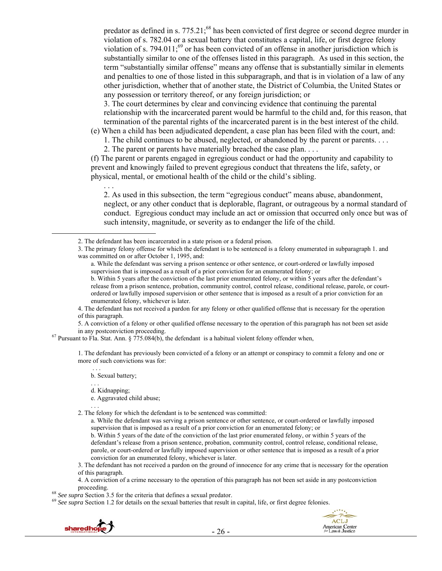predator as defined in s. 775.21;<sup>68</sup> has been convicted of first degree or second degree murder in violation of s. 782.04 or a sexual battery that constitutes a capital, life, or first degree felony violation of s. 794.011;<sup>69</sup> or has been convicted of an offense in another jurisdiction which is substantially similar to one of the offenses listed in this paragraph. As used in this section, the term "substantially similar offense" means any offense that is substantially similar in elements and penalties to one of those listed in this subparagraph, and that is in violation of a law of any other jurisdiction, whether that of another state, the District of Columbia, the United States or any possession or territory thereof, or any foreign jurisdiction; or

3. The court determines by clear and convincing evidence that continuing the parental relationship with the incarcerated parent would be harmful to the child and, for this reason, that termination of the parental rights of the incarcerated parent is in the best interest of the child.

(e) When a child has been adjudicated dependent, a case plan has been filed with the court, and: 1. The child continues to be abused, neglected, or abandoned by the parent or parents. . . .

2. The parent or parents have materially breached the case plan. . . .

(f) The parent or parents engaged in egregious conduct or had the opportunity and capability to prevent and knowingly failed to prevent egregious conduct that threatens the life, safety, or physical, mental, or emotional health of the child or the child's sibling.

. . . 2. As used in this subsection, the term "egregious conduct" means abuse, abandonment, neglect, or any other conduct that is deplorable, flagrant, or outrageous by a normal standard of conduct. Egregious conduct may include an act or omission that occurred only once but was of such intensity, magnitude, or severity as to endanger the life of the child.

4. The defendant has not received a pardon for any felony or other qualified offense that is necessary for the operation of this paragraph.

5. A conviction of a felony or other qualified offense necessary to the operation of this paragraph has not been set aside

in any postconviction proceeding.<br><sup>67</sup> Pursuant to Fla. Stat. Ann. § 775.084(b), the defendant is a habitual violent felony offender when,

1. The defendant has previously been convicted of a felony or an attempt or conspiracy to commit a felony and one or more of such convictions was for:

 . . . b. Sexual battery;

. . . d. Kidnapping:

e. Aggravated child abuse;

. . .

2. The felony for which the defendant is to be sentenced was committed:

a. While the defendant was serving a prison sentence or other sentence, or court-ordered or lawfully imposed supervision that is imposed as a result of a prior conviction for an enumerated felony; or

b. Within 5 years of the date of the conviction of the last prior enumerated felony, or within 5 years of the defendant's release from a prison sentence, probation, community control, control release, conditional release, parole, or court-ordered or lawfully imposed supervision or other sentence that is imposed as a result of a prior conviction for an enumerated felony, whichever is later.

3. The defendant has not received a pardon on the ground of innocence for any crime that is necessary for the operation of this paragraph.

4. A conviction of a crime necessary to the operation of this paragraph has not been set aside in any postconviction

<sup>68</sup> *See supra* Section 3.5 for the criteria that defines a sexual predator.<br><sup>69</sup> *See supra* Section 1.2 for details on the sexual batteries that result in capital, life, or first degree felonies.





 <sup>2.</sup> The defendant has been incarcerated in a state prison or a federal prison.

<sup>3.</sup> The primary felony offense for which the defendant is to be sentenced is a felony enumerated in subparagraph 1. and was committed on or after October 1, 1995, and:

a. While the defendant was serving a prison sentence or other sentence, or court-ordered or lawfully imposed supervision that is imposed as a result of a prior conviction for an enumerated felony; or

b. Within 5 years after the conviction of the last prior enumerated felony, or within 5 years after the defendant's release from a prison sentence, probation, community control, control release, conditional release, parole, or courtordered or lawfully imposed supervision or other sentence that is imposed as a result of a prior conviction for an enumerated felony, whichever is later.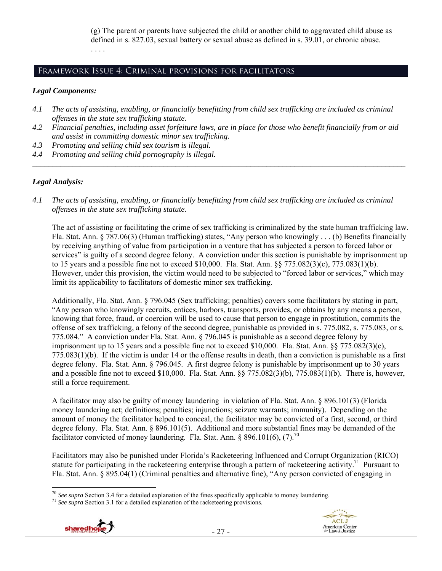(g) The parent or parents have subjected the child or another child to aggravated child abuse as defined in s. 827.03, sexual battery or sexual abuse as defined in s. 39.01, or chronic abuse. . . . .

## Framework Issue 4: Criminal provisions for facilitators

#### *Legal Components:*

- *4.1 The acts of assisting, enabling, or financially benefitting from child sex trafficking are included as criminal offenses in the state sex trafficking statute.*
- *4.2 Financial penalties, including asset forfeiture laws, are in place for those who benefit financially from or aid and assist in committing domestic minor sex trafficking.*

*\_\_\_\_\_\_\_\_\_\_\_\_\_\_\_\_\_\_\_\_\_\_\_\_\_\_\_\_\_\_\_\_\_\_\_\_\_\_\_\_\_\_\_\_\_\_\_\_\_\_\_\_\_\_\_\_\_\_\_\_\_\_\_\_\_\_\_\_\_\_\_\_\_\_\_\_\_\_\_\_\_\_\_\_\_\_\_\_\_\_\_\_\_\_* 

- *4.3 Promoting and selling child sex tourism is illegal.*
- *4.4 Promoting and selling child pornography is illegal.*

#### *Legal Analysis:*

*4.1 The acts of assisting, enabling, or financially benefitting from child sex trafficking are included as criminal offenses in the state sex trafficking statute.* 

The act of assisting or facilitating the crime of sex trafficking is criminalized by the state human trafficking law. Fla. Stat. Ann. § 787.06(3) (Human trafficking) states, "Any person who knowingly . . . (b) Benefits financially by receiving anything of value from participation in a venture that has subjected a person to forced labor or services" is guilty of a second degree felony. A conviction under this section is punishable by imprisonment up to 15 years and a possible fine not to exceed \$10,000. Fla. Stat. Ann. §§ 775.082(3)(c), 775.083(1)(b). However, under this provision, the victim would need to be subjected to "forced labor or services," which may limit its applicability to facilitators of domestic minor sex trafficking.

Additionally, Fla. Stat. Ann. § 796.045 (Sex trafficking; penalties) covers some facilitators by stating in part, "Any person who knowingly recruits, entices, harbors, transports, provides, or obtains by any means a person, knowing that force, fraud, or coercion will be used to cause that person to engage in prostitution, commits the offense of sex trafficking, a felony of the second degree, punishable as provided in s. 775.082, s. 775.083, or s. 775.084." A conviction under Fla. Stat. Ann. § 796.045 is punishable as a second degree felony by imprisonment up to 15 years and a possible fine not to exceed \$10,000. Fla. Stat. Ann. §§ 775.082(3)(c), 775.083(1)(b). If the victim is under 14 or the offense results in death, then a conviction is punishable as a first degree felony. Fla. Stat. Ann. § 796.045. A first degree felony is punishable by imprisonment up to 30 years and a possible fine not to exceed \$10,000. Fla. Stat. Ann. §§ 775.082(3)(b), 775.083(1)(b). There is, however, still a force requirement.

A facilitator may also be guilty of money laundering in violation of Fla. Stat. Ann. § 896.101(3) (Florida money laundering act; definitions; penalties; injunctions; seizure warrants; immunity). Depending on the amount of money the facilitator helped to conceal, the facilitator may be convicted of a first, second, or third degree felony. Fla. Stat. Ann. § 896.101(5). Additional and more substantial fines may be demanded of the facilitator convicted of money laundering. Fla. Stat. Ann.  $\frac{896.101(6)}{7}$ .<sup>70</sup>

Facilitators may also be punished under Florida's Racketeering Influenced and Corrupt Organization (RICO) statute for participating in the racketeering enterprise through a pattern of racketeering activity.<sup>71</sup> Pursuant to Fla. Stat. Ann. § 895.04(1) (Criminal penalties and alternative fine), "Any person convicted of engaging in





 $\overline{a}$ <sup>70</sup> *See supra* Section 3.4 for a detailed explanation of the fines specifically applicable to money laundering. 71 *See supra* Section 3.1 for a detailed explanation of the racketeering provisions.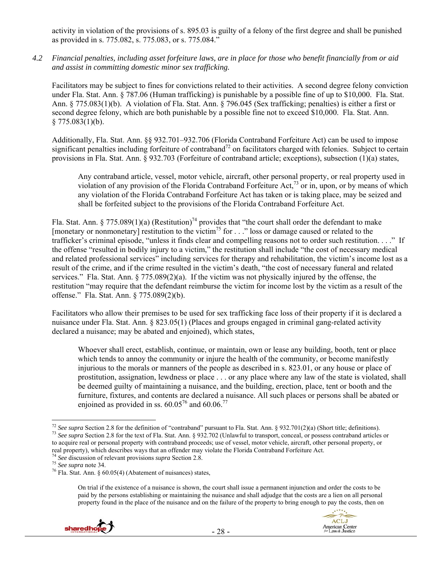activity in violation of the provisions of s. 895.03 is guilty of a felony of the first degree and shall be punished as provided in s. 775.082, s. 775.083, or s. 775.084."

*4.2 Financial penalties, including asset forfeiture laws, are in place for those who benefit financially from or aid and assist in committing domestic minor sex trafficking.* 

Facilitators may be subject to fines for convictions related to their activities. A second degree felony conviction under Fla. Stat. Ann. § 787.06 (Human trafficking) is punishable by a possible fine of up to \$10,000. Fla. Stat. Ann. § 775.083(1)(b). A violation of Fla. Stat. Ann. § 796.045 (Sex trafficking; penalties) is either a first or second degree felony, which are both punishable by a possible fine not to exceed \$10,000. Fla. Stat. Ann.  $§ 775.083(1)(b).$ 

Additionally, Fla. Stat. Ann. §§ 932.701–932.706 (Florida Contraband Forfeiture Act) can be used to impose significant penalties including forfeiture of contraband<sup>72</sup> on facilitators charged with felonies. Subject to certain provisions in Fla. Stat. Ann. § 932.703 (Forfeiture of contraband article; exceptions), subsection (1)(a) states,

Any contraband article, vessel, motor vehicle, aircraft, other personal property, or real property used in violation of any provision of the Florida Contraband Forfeiture Act,<sup>73</sup> or in, upon, or by means of which any violation of the Florida Contraband Forfeiture Act has taken or is taking place, may be seized and shall be forfeited subject to the provisions of the Florida Contraband Forfeiture Act.

Fla. Stat. Ann. § 775.089(1)(a) (Restitution)<sup>74</sup> provides that "the court shall order the defendant to make [monetary or nonmonetary] restitution to the victim<sup>75</sup> for  $\ldots$  " loss or damage caused or related to the trafficker's criminal episode, "unless it finds clear and compelling reasons not to order such restitution. . . ." If the offense "resulted in bodily injury to a victim," the restitution shall include "the cost of necessary medical and related professional services" including services for therapy and rehabilitation, the victim's income lost as a result of the crime, and if the crime resulted in the victim's death, "the cost of necessary funeral and related services." Fla. Stat. Ann. § 775.089(2)(a). If the victim was not physically injured by the offense, the restitution "may require that the defendant reimburse the victim for income lost by the victim as a result of the offense." Fla. Stat. Ann. § 775.089(2)(b).

Facilitators who allow their premises to be used for sex trafficking face loss of their property if it is declared a nuisance under Fla. Stat. Ann. § 823.05(1) (Places and groups engaged in criminal gang-related activity declared a nuisance; may be abated and enjoined), which states,

Whoever shall erect, establish, continue, or maintain, own or lease any building, booth, tent or place which tends to annoy the community or injure the health of the community, or become manifestly injurious to the morals or manners of the people as described in s. 823.01, or any house or place of prostitution, assignation, lewdness or place . . . or any place where any law of the state is violated, shall be deemed guilty of maintaining a nuisance, and the building, erection, place, tent or booth and the furniture, fixtures, and contents are declared a nuisance. All such places or persons shall be abated or enjoined as provided in ss.  $60.05^{76}$  and  $60.06^{77}$ 

On trial if the existence of a nuisance is shown, the court shall issue a permanent injunction and order the costs to be paid by the persons establishing or maintaining the nuisance and shall adjudge that the costs are a lien on all personal property found in the place of the nuisance and on the failure of the property to bring enough to pay the costs, then on



 $\overline{a}$ <sup>72</sup> See supra Section 2.8 for the definition of "contraband" pursuant to Fla. Stat. Ann. § 932.701(2)(a) (Short title; definitions).<br><sup>73</sup> See supra Section 2.8 for the text of Fla. Stat. Ann. § 932.702 (Unlawful to trans to acquire real or personal property with contraband proceeds; use of vessel, motor vehicle, aircraft, other personal property, or real property), which describes ways that an offender may violate the Florida Contraband Forfeiture Act.<br><sup>74</sup> See discussion of relevant provisions *supra* Section 2.8.<br><sup>75</sup> See supra note 34.<br><sup>76</sup> Fla. Stat. Ann. § 60.05(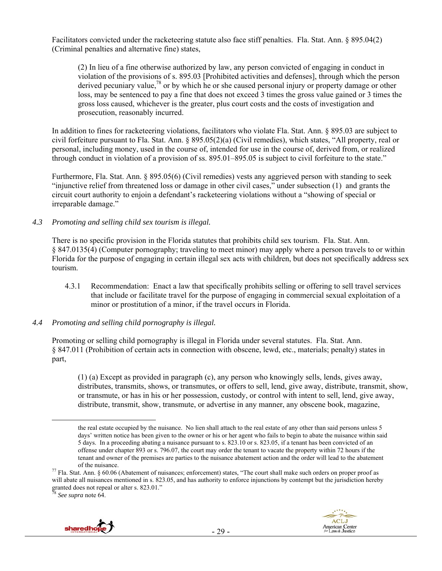Facilitators convicted under the racketeering statute also face stiff penalties. Fla. Stat. Ann. § 895.04(2) (Criminal penalties and alternative fine) states,

(2) In lieu of a fine otherwise authorized by law, any person convicted of engaging in conduct in violation of the provisions of s. 895.03 [Prohibited activities and defenses], through which the person derived pecuniary value,<sup>78</sup> or by which he or she caused personal injury or property damage or other loss, may be sentenced to pay a fine that does not exceed 3 times the gross value gained or 3 times the gross loss caused, whichever is the greater, plus court costs and the costs of investigation and prosecution, reasonably incurred.

In addition to fines for racketeering violations, facilitators who violate Fla. Stat. Ann. § 895.03 are subject to civil forfeiture pursuant to Fla. Stat. Ann. § 895.05(2)(a) (Civil remedies), which states, "All property, real or personal, including money, used in the course of, intended for use in the course of, derived from, or realized through conduct in violation of a provision of ss. 895.01–895.05 is subject to civil forfeiture to the state."

Furthermore, Fla. Stat. Ann. § 895.05(6) (Civil remedies) vests any aggrieved person with standing to seek "injunctive relief from threatened loss or damage in other civil cases," under subsection (1) and grants the circuit court authority to enjoin a defendant's racketeering violations without a "showing of special or irreparable damage."

## *4.3 Promoting and selling child sex tourism is illegal.*

There is no specific provision in the Florida statutes that prohibits child sex tourism. Fla. Stat. Ann. § 847.0135(4) (Computer pornography; traveling to meet minor) may apply where a person travels to or within Florida for the purpose of engaging in certain illegal sex acts with children, but does not specifically address sex tourism.

4.3.1 Recommendation: Enact a law that specifically prohibits selling or offering to sell travel services that include or facilitate travel for the purpose of engaging in commercial sexual exploitation of a minor or prostitution of a minor, if the travel occurs in Florida.

#### *4.4 Promoting and selling child pornography is illegal.*

Promoting or selling child pornography is illegal in Florida under several statutes. Fla. Stat. Ann. § 847.011 (Prohibition of certain acts in connection with obscene, lewd, etc., materials; penalty) states in part,

(1) (a) Except as provided in paragraph (c), any person who knowingly sells, lends, gives away, distributes, transmits, shows, or transmutes, or offers to sell, lend, give away, distribute, transmit, show, or transmute, or has in his or her possession, custody, or control with intent to sell, lend, give away, distribute, transmit, show, transmute, or advertise in any manner, any obscene book, magazine,

See supra note 64.





the real estate occupied by the nuisance. No lien shall attach to the real estate of any other than said persons unless 5 days' written notice has been given to the owner or his or her agent who fails to begin to abate the nuisance within said 5 days. In a proceeding abating a nuisance pursuant to s. 823.10 or s. 823.05, if a tenant has been convicted of an offense under chapter 893 or s. 796.07, the court may order the tenant to vacate the property within 72 hours if the tenant and owner of the premises are parties to the nuisance abatement action and the order will lead to the abatement of the nuisance.<br><sup>77</sup> Fla. Stat. Ann. § 60.06 (Abatement of nuisances; enforcement) states, "The court shall make such orders on proper proof as

will abate all nuisances mentioned in s. 823.05, and has authority to enforce injunctions by contempt but the jurisdiction hereby granted does not repeal or alter s. 823.01."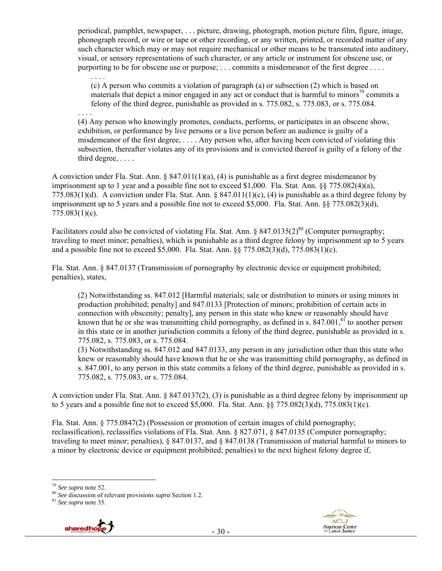periodical, pamphlet, newspaper, . . . picture, drawing, photograph, motion picture film, figure, image, phonograph record, or wire or tape or other recording, or any written, printed, or recorded matter of any such character which may or may not require mechanical or other means to be transmuted into auditory, visual, or sensory representations of such character, or any article or instrument for obscene use, or purporting to be for obscene use or purpose; . . . commits a misdemeanor of the first degree . . . .

(c) A person who commits a violation of paragraph (a) or subsection (2) which is based on materials that depict a minor engaged in any act or conduct that is harmful to minors<sup>79</sup> commits a felony of the third degree, punishable as provided in s. 775.082, s. 775.083, or s. 775.084.

. . . .

. . . .

(4) Any person who knowingly promotes, conducts, performs, or participates in an obscene show, exhibition, or performance by live persons or a live person before an audience is guilty of a misdemeanor of the first degree, . . . . Any person who, after having been convicted of violating this subsection, thereafter violates any of its provisions and is convicted thereof is guilty of a felony of the third degree, . . . .

A conviction under Fla. Stat. Ann. § 847.011(1)(a), (4) is punishable as a first degree misdemeanor by imprisonment up to 1 year and a possible fine not to exceed \$1,000. Fla. Stat. Ann. §§ 775.082(4)(a), 775.083(1)(d). A conviction under Fla. Stat. Ann.  $\S 847.011(1)(c)$ , (4) is punishable as a third degree felony by imprisonment up to 5 years and a possible fine not to exceed \$5,000. Fla. Stat. Ann. §§ 775.082(3)(d), 775.083(1)(c).

Facilitators could also be convicted of violating Fla. Stat. Ann. § 847.0135(2)<sup>80</sup> (Computer pornography; traveling to meet minor; penalties), which is punishable as a third degree felony by imprisonment up to 5 years and a possible fine not to exceed \$5,000. Fla. Stat. Ann. §§ 775.082(3)(d), 775.083(1)(c).

Fla. Stat. Ann. § 847.0137 (Transmission of pornography by electronic device or equipment prohibited; penalties), states,

(2) Notwithstanding ss. 847.012 [Harmful materials; sale or distribution to minors or using minors in production prohibited; penalty] and 847.0133 [Protection of minors; prohibition of certain acts in connection with obscenity; penalty], any person in this state who knew or reasonably should have known that he or she was transmitting child pornography, as defined in s.  $847.001$ ,<sup>81</sup> to another person in this state or in another jurisdiction commits a felony of the third degree, punishable as provided in s. 775.082, s. 775.083, or s. 775.084.

(3) Notwithstanding ss. 847.012 and 847.0133, any person in any jurisdiction other than this state who knew or reasonably should have known that he or she was transmitting child pornography, as defined in s. 847.001, to any person in this state commits a felony of the third degree, punishable as provided in s. 775.082, s. 775.083, or s. 775.084.

A conviction under Fla. Stat. Ann. § 847.0137(2), (3) is punishable as a third degree felony by imprisonment up to 5 years and a possible fine not to exceed \$5,000. Fla. Stat. Ann. §§ 775.082(3)(d), 775.083(1)(c).

Fla. Stat. Ann. § 775.0847(2) (Possession or promotion of certain images of child pornography; reclassification), reclassifies violations of Fla. Stat. Ann. § 827.071, § 847.0135 (Computer pornography; traveling to meet minor; penalties), § 847.0137, and § 847.0138 (Transmission of material harmful to minors to a minor by electronic device or equipment prohibited; penalties) to the next highest felony degree if,



<sup>&</sup>lt;sup>79</sup> *See supra* note 52.<br><sup>80</sup> *See* discussion of relevant provisions *supra* Section 1.2. <sup>81</sup> *See supra* note 35.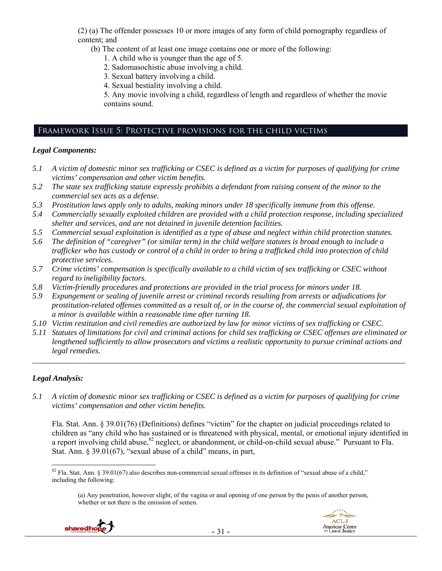(2) (a) The offender possesses 10 or more images of any form of child pornography regardless of content; and

(b) The content of at least one image contains one or more of the following:

- 1. A child who is younger than the age of 5.
- 2. Sadomasochistic abuse involving a child.
- 3. Sexual battery involving a child.
- 4. Sexual bestiality involving a child.

5. Any movie involving a child, regardless of length and regardless of whether the movie contains sound.

## Framework Issue 5: Protective provisions for the child victims

#### *Legal Components:*

- *5.1 A victim of domestic minor sex trafficking or CSEC is defined as a victim for purposes of qualifying for crime victims' compensation and other victim benefits.*
- *5.2 The state sex trafficking statute expressly prohibits a defendant from raising consent of the minor to the commercial sex acts as a defense.*
- *5.3 Prostitution laws apply only to adults, making minors under 18 specifically immune from this offense.*
- *5.4 Commercially sexually exploited children are provided with a child protection response, including specialized shelter and services, and are not detained in juvenile detention facilities.*
- *5.5 Commercial sexual exploitation is identified as a type of abuse and neglect within child protection statutes.*
- *5.6 The definition of "caregiver" (or similar term) in the child welfare statutes is broad enough to include a trafficker who has custody or control of a child in order to bring a trafficked child into protection of child protective services.*
- *5.7 Crime victims' compensation is specifically available to a child victim of sex trafficking or CSEC without regard to ineligibility factors.*
- *5.8 Victim-friendly procedures and protections are provided in the trial process for minors under 18.*
- *5.9 Expungement or sealing of juvenile arrest or criminal records resulting from arrests or adjudications for prostitution-related offenses committed as a result of, or in the course of, the commercial sexual exploitation of a minor is available within a reasonable time after turning 18.*
- *5.10 Victim restitution and civil remedies are authorized by law for minor victims of sex trafficking or CSEC.*
- *5.11 Statutes of limitations for civil and criminal actions for child sex trafficking or CSEC offenses are eliminated or lengthened sufficiently to allow prosecutors and victims a realistic opportunity to pursue criminal actions and legal remedies.*

*\_\_\_\_\_\_\_\_\_\_\_\_\_\_\_\_\_\_\_\_\_\_\_\_\_\_\_\_\_\_\_\_\_\_\_\_\_\_\_\_\_\_\_\_\_\_\_\_\_\_\_\_\_\_\_\_\_\_\_\_\_\_\_\_\_\_\_\_\_\_\_\_\_\_\_\_\_\_\_\_\_\_\_\_\_\_\_\_\_\_\_\_\_\_* 

## *Legal Analysis:*

 $\overline{a}$ 

*5.1 A victim of domestic minor sex trafficking or CSEC is defined as a victim for purposes of qualifying for crime victims' compensation and other victim benefits.* 

Fla. Stat. Ann. § 39.01(76) (Definitions) defines "victim" for the chapter on judicial proceedings related to children as "any child who has sustained or is threatened with physical, mental, or emotional injury identified in a report involving child abuse,<sup>82</sup> neglect, or abandonment, or child-on-child sexual abuse." Pursuant to Fla. Stat. Ann. § 39.01(67), "sexual abuse of a child" means, in part,

<sup>(</sup>a) Any penetration, however slight, of the vagina or anal opening of one person by the penis of another person, whether or not there is the emission of semen.





 $82$  Fla. Stat. Ann. § 39.01(67) also describes non-commercial sexual offenses in its definition of "sexual abuse of a child," including the following: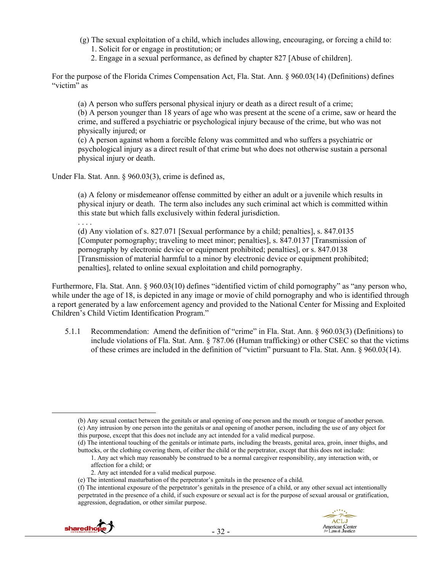- (g) The sexual exploitation of a child, which includes allowing, encouraging, or forcing a child to:
	- 1. Solicit for or engage in prostitution; or
	- 2. Engage in a sexual performance, as defined by chapter 827 [Abuse of children].

For the purpose of the Florida Crimes Compensation Act, Fla. Stat. Ann. § 960.03(14) (Definitions) defines "victim" as

(a) A person who suffers personal physical injury or death as a direct result of a crime; (b) A person younger than 18 years of age who was present at the scene of a crime, saw or heard the crime, and suffered a psychiatric or psychological injury because of the crime, but who was not physically injured; or

(c) A person against whom a forcible felony was committed and who suffers a psychiatric or psychological injury as a direct result of that crime but who does not otherwise sustain a personal physical injury or death.

Under Fla. Stat. Ann. § 960.03(3), crime is defined as,

(a) A felony or misdemeanor offense committed by either an adult or a juvenile which results in physical injury or death. The term also includes any such criminal act which is committed within this state but which falls exclusively within federal jurisdiction.

. . . .

(d) Any violation of s. 827.071 [Sexual performance by a child; penalties], s. 847.0135 [Computer pornography; traveling to meet minor; penalties], s. 847.0137 [Transmission of pornography by electronic device or equipment prohibited; penalties], or s. 847.0138 [Transmission of material harmful to a minor by electronic device or equipment prohibited; penalties], related to online sexual exploitation and child pornography.

Furthermore, Fla. Stat. Ann. § 960.03(10) defines "identified victim of child pornography" as "any person who, while under the age of 18, is depicted in any image or movie of child pornography and who is identified through a report generated by a law enforcement agency and provided to the National Center for Missing and Exploited Children's Child Victim Identification Program."

5.1.1 Recommendation: Amend the definition of "crime" in Fla. Stat. Ann. § 960.03(3) (Definitions) to include violations of Fla. Stat. Ann. § 787.06 (Human trafficking) or other CSEC so that the victims of these crimes are included in the definition of "victim" pursuant to Fla. Stat. Ann. § 960.03(14).

<sup>(</sup>f) The intentional exposure of the perpetrator's genitals in the presence of a child, or any other sexual act intentionally perpetrated in the presence of a child, if such exposure or sexual act is for the purpose of sexual arousal or gratification, aggression, degradation, or other similar purpose.



 <sup>(</sup>b) Any sexual contact between the genitals or anal opening of one person and the mouth or tongue of another person. (c) Any intrusion by one person into the genitals or anal opening of another person, including the use of any object for this purpose, except that this does not include any act intended for a valid medical purpose.

<sup>(</sup>d) The intentional touching of the genitals or intimate parts, including the breasts, genital area, groin, inner thighs, and buttocks, or the clothing covering them, of either the child or the perpetrator, except that this does not include:

<sup>1.</sup> Any act which may reasonably be construed to be a normal caregiver responsibility, any interaction with, or affection for a child; or

<sup>2.</sup> Any act intended for a valid medical purpose.

<sup>(</sup>e) The intentional masturbation of the perpetrator's genitals in the presence of a child.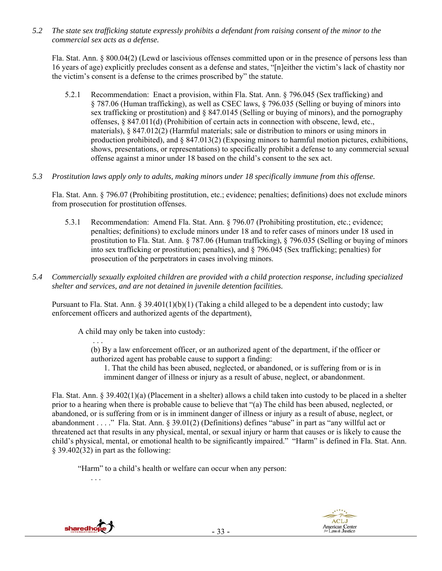*5.2 The state sex trafficking statute expressly prohibits a defendant from raising consent of the minor to the commercial sex acts as a defense.* 

Fla. Stat. Ann. § 800.04(2) (Lewd or lascivious offenses committed upon or in the presence of persons less than 16 years of age) explicitly precludes consent as a defense and states, "[n]either the victim's lack of chastity nor the victim's consent is a defense to the crimes proscribed by" the statute.

- 5.2.1 Recommendation: Enact a provision, within Fla. Stat. Ann. § 796.045 (Sex trafficking) and § 787.06 (Human trafficking), as well as CSEC laws, § 796.035 (Selling or buying of minors into sex trafficking or prostitution) and § 847.0145 (Selling or buying of minors), and the pornography offenses, § 847.011(d) (Prohibition of certain acts in connection with obscene, lewd, etc., materials), § 847.012(2) (Harmful materials; sale or distribution to minors or using minors in production prohibited), and  $\S$  847.013(2) (Exposing minors to harmful motion pictures, exhibitions, shows, presentations, or representations) to specifically prohibit a defense to any commercial sexual offense against a minor under 18 based on the child's consent to the sex act.
- *5.3 Prostitution laws apply only to adults, making minors under 18 specifically immune from this offense.*

Fla. Stat. Ann. § 796.07 (Prohibiting prostitution, etc.; evidence; penalties; definitions) does not exclude minors from prosecution for prostitution offenses.

- 5.3.1 Recommendation: Amend Fla. Stat. Ann. § 796.07 (Prohibiting prostitution, etc.; evidence; penalties; definitions) to exclude minors under 18 and to refer cases of minors under 18 used in prostitution to Fla. Stat. Ann. § 787.06 (Human trafficking), § 796.035 (Selling or buying of minors into sex trafficking or prostitution; penalties), and § 796.045 (Sex trafficking; penalties) for prosecution of the perpetrators in cases involving minors.
- *5.4 Commercially sexually exploited children are provided with a child protection response, including specialized shelter and services, and are not detained in juvenile detention facilities.*

Pursuant to Fla. Stat. Ann. § 39.401(1)(b)(1) (Taking a child alleged to be a dependent into custody; law enforcement officers and authorized agents of the department),

A child may only be taken into custody:

(b) By a law enforcement officer, or an authorized agent of the department, if the officer or authorized agent has probable cause to support a finding:

1. That the child has been abused, neglected, or abandoned, or is suffering from or is in imminent danger of illness or injury as a result of abuse, neglect, or abandonment.

Fla. Stat. Ann. § 39.402(1)(a) (Placement in a shelter) allows a child taken into custody to be placed in a shelter prior to a hearing when there is probable cause to believe that "(a) The child has been abused, neglected, or abandoned, or is suffering from or is in imminent danger of illness or injury as a result of abuse, neglect, or abandonment . . . ." Fla. Stat. Ann. § 39.01(2) (Definitions) defines "abuse" in part as "any willful act or threatened act that results in any physical, mental, or sexual injury or harm that causes or is likely to cause the child's physical, mental, or emotional health to be significantly impaired." "Harm" is defined in Fla. Stat. Ann. § 39.402(32) in part as the following:

"Harm" to a child's health or welfare can occur when any person:

. . .

. . .



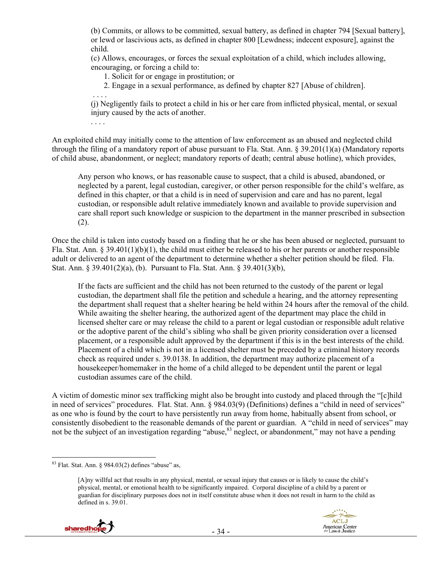(b) Commits, or allows to be committed, sexual battery, as defined in chapter 794 [Sexual battery], or lewd or lascivious acts, as defined in chapter 800 [Lewdness; indecent exposure], against the child.

(c) Allows, encourages, or forces the sexual exploitation of a child, which includes allowing, encouraging, or forcing a child to:

1. Solicit for or engage in prostitution; or

2. Engage in a sexual performance, as defined by chapter 827 [Abuse of children].

(j) Negligently fails to protect a child in his or her care from inflicted physical, mental, or sexual injury caused by the acts of another.

. . . .

. . . .

An exploited child may initially come to the attention of law enforcement as an abused and neglected child through the filing of a mandatory report of abuse pursuant to Fla. Stat. Ann.  $\S 39.201(1)(a)$  (Mandatory reports of child abuse, abandonment, or neglect; mandatory reports of death; central abuse hotline), which provides,

Any person who knows, or has reasonable cause to suspect, that a child is abused, abandoned, or neglected by a parent, legal custodian, caregiver, or other person responsible for the child's welfare, as defined in this chapter, or that a child is in need of supervision and care and has no parent, legal custodian, or responsible adult relative immediately known and available to provide supervision and care shall report such knowledge or suspicion to the department in the manner prescribed in subsection (2).

Once the child is taken into custody based on a finding that he or she has been abused or neglected, pursuant to Fla. Stat. Ann. § 39.401(1)(b)(1), the child must either be released to his or her parents or another responsible adult or delivered to an agent of the department to determine whether a shelter petition should be filed. Fla. Stat. Ann. § 39.401(2)(a), (b). Pursuant to Fla. Stat. Ann. § 39.401(3)(b),

If the facts are sufficient and the child has not been returned to the custody of the parent or legal custodian, the department shall file the petition and schedule a hearing, and the attorney representing the department shall request that a shelter hearing be held within 24 hours after the removal of the child. While awaiting the shelter hearing, the authorized agent of the department may place the child in licensed shelter care or may release the child to a parent or legal custodian or responsible adult relative or the adoptive parent of the child's sibling who shall be given priority consideration over a licensed placement, or a responsible adult approved by the department if this is in the best interests of the child. Placement of a child which is not in a licensed shelter must be preceded by a criminal history records check as required under s. 39.0138. In addition, the department may authorize placement of a housekeeper/homemaker in the home of a child alleged to be dependent until the parent or legal custodian assumes care of the child.

A victim of domestic minor sex trafficking might also be brought into custody and placed through the "[c]hild in need of services" procedures. Flat. Stat. Ann. § 984.03(9) (Definitions) defines a "child in need of services" as one who is found by the court to have persistently run away from home, habitually absent from school, or consistently disobedient to the reasonable demands of the parent or guardian. A "child in need of services" may not be the subject of an investigation regarding "abuse,<sup>83</sup> neglect, or abandonment," may not have a pending

<sup>[</sup>A]ny willful act that results in any physical, mental, or sexual injury that causes or is likely to cause the child's physical, mental, or emotional health to be significantly impaired. Corporal discipline of a child by a parent or guardian for disciplinary purposes does not in itself constitute abuse when it does not result in harm to the child as defined in s. 39.01.



 $\overline{a}$  $83$  Flat. Stat. Ann. § 984.03(2) defines "abuse" as,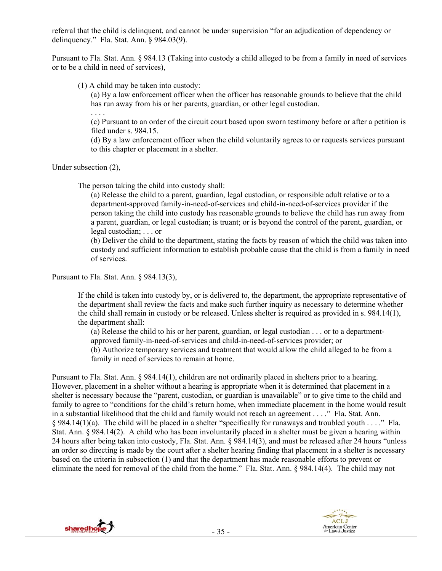referral that the child is delinquent, and cannot be under supervision "for an adjudication of dependency or delinquency." Fla. Stat. Ann. § 984.03(9).

Pursuant to Fla. Stat. Ann. § 984.13 (Taking into custody a child alleged to be from a family in need of services or to be a child in need of services),

(1) A child may be taken into custody:

(a) By a law enforcement officer when the officer has reasonable grounds to believe that the child has run away from his or her parents, guardian, or other legal custodian.

. . . .

(c) Pursuant to an order of the circuit court based upon sworn testimony before or after a petition is filed under s. 984.15.

(d) By a law enforcement officer when the child voluntarily agrees to or requests services pursuant to this chapter or placement in a shelter.

Under subsection (2),

The person taking the child into custody shall:

(a) Release the child to a parent, guardian, legal custodian, or responsible adult relative or to a department-approved family-in-need-of-services and child-in-need-of-services provider if the person taking the child into custody has reasonable grounds to believe the child has run away from a parent, guardian, or legal custodian; is truant; or is beyond the control of the parent, guardian, or legal custodian; . . . or

(b) Deliver the child to the department, stating the facts by reason of which the child was taken into custody and sufficient information to establish probable cause that the child is from a family in need of services.

Pursuant to Fla. Stat. Ann. § 984.13(3),

If the child is taken into custody by, or is delivered to, the department, the appropriate representative of the department shall review the facts and make such further inquiry as necessary to determine whether the child shall remain in custody or be released. Unless shelter is required as provided in s. 984.14(1), the department shall:

(a) Release the child to his or her parent, guardian, or legal custodian . . . or to a departmentapproved family-in-need-of-services and child-in-need-of-services provider; or

(b) Authorize temporary services and treatment that would allow the child alleged to be from a family in need of services to remain at home.

Pursuant to Fla. Stat. Ann. § 984.14(1), children are not ordinarily placed in shelters prior to a hearing. However, placement in a shelter without a hearing is appropriate when it is determined that placement in a shelter is necessary because the "parent, custodian, or guardian is unavailable" or to give time to the child and family to agree to "conditions for the child's return home, when immediate placement in the home would result in a substantial likelihood that the child and family would not reach an agreement . . . ." Fla. Stat. Ann.  $§$  984.14(1)(a). The child will be placed in a shelter "specifically for runaways and troubled youth . . . ." Fla. Stat. Ann. § 984.14(2). A child who has been involuntarily placed in a shelter must be given a hearing within 24 hours after being taken into custody, Fla. Stat. Ann. § 984.14(3), and must be released after 24 hours "unless an order so directing is made by the court after a shelter hearing finding that placement in a shelter is necessary based on the criteria in subsection (1) and that the department has made reasonable efforts to prevent or eliminate the need for removal of the child from the home." Fla. Stat. Ann. § 984.14(4). The child may not



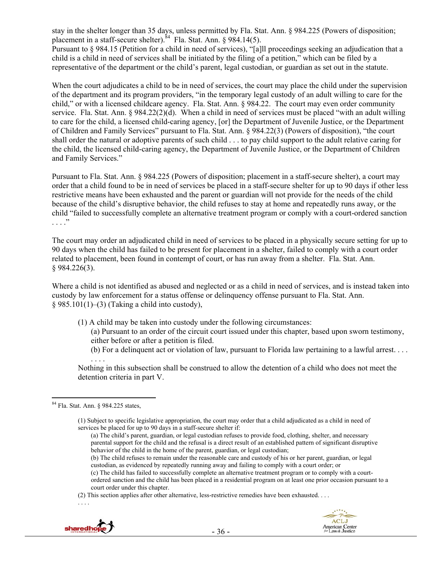stay in the shelter longer than 35 days, unless permitted by Fla. Stat. Ann. § 984.225 (Powers of disposition; placement in a staff-secure shelter). $84$  Fla. Stat. Ann. § 984.14(5). Pursuant to § 984.15 (Petition for a child in need of services), "[a]ll proceedings seeking an adjudication that a child is a child in need of services shall be initiated by the filing of a petition," which can be filed by a representative of the department or the child's parent, legal custodian, or guardian as set out in the statute.

When the court adjudicates a child to be in need of services, the court may place the child under the supervision of the department and its program providers, "in the temporary legal custody of an adult willing to care for the child," or with a licensed childcare agency. Fla. Stat. Ann. § 984.22. The court may even order community service. Fla. Stat. Ann. § 984.22(2)(d). When a child in need of services must be placed "with an adult willing to care for the child, a licensed child-caring agency, [or] the Department of Juvenile Justice, or the Department of Children and Family Services" pursuant to Fla. Stat. Ann. § 984.22(3) (Powers of disposition), "the court shall order the natural or adoptive parents of such child . . . to pay child support to the adult relative caring for the child, the licensed child-caring agency, the Department of Juvenile Justice, or the Department of Children and Family Services."

Pursuant to Fla. Stat. Ann. § 984.225 (Powers of disposition; placement in a staff-secure shelter), a court may order that a child found to be in need of services be placed in a staff-secure shelter for up to 90 days if other less restrictive means have been exhausted and the parent or guardian will not provide for the needs of the child because of the child's disruptive behavior, the child refuses to stay at home and repeatedly runs away, or the child "failed to successfully complete an alternative treatment program or comply with a court-ordered sanction . . . ."

The court may order an adjudicated child in need of services to be placed in a physically secure setting for up to 90 days when the child has failed to be present for placement in a shelter, failed to comply with a court order related to placement, been found in contempt of court, or has run away from a shelter. Fla. Stat. Ann. § 984.226(3).

Where a child is not identified as abused and neglected or as a child in need of services, and is instead taken into custody by law enforcement for a status offense or delinquency offense pursuant to Fla. Stat. Ann.  $§$  985.101(1)–(3) (Taking a child into custody),

- (1) A child may be taken into custody under the following circumstances:
	- (a) Pursuant to an order of the circuit court issued under this chapter, based upon sworn testimony, either before or after a petition is filed.
	- (b) For a delinquent act or violation of law, pursuant to Florida law pertaining to a lawful arrest.  $\dots$

Nothing in this subsection shall be construed to allow the detention of a child who does not meet the detention criteria in part V.

 $\overline{a}$ 

. . . .

<sup>(2)</sup> This section applies after other alternative, less-restrictive remedies have been exhausted. . . .



. . . .

<sup>84</sup> Fla. Stat. Ann. § 984.225 states,

<sup>(1)</sup> Subject to specific legislative appropriation, the court may order that a child adjudicated as a child in need of services be placed for up to 90 days in a staff-secure shelter if:

<sup>(</sup>a) The child's parent, guardian, or legal custodian refuses to provide food, clothing, shelter, and necessary parental support for the child and the refusal is a direct result of an established pattern of significant disruptive behavior of the child in the home of the parent, guardian, or legal custodian;

<sup>(</sup>b) The child refuses to remain under the reasonable care and custody of his or her parent, guardian, or legal custodian, as evidenced by repeatedly running away and failing to comply with a court order; or

<sup>(</sup>c) The child has failed to successfully complete an alternative treatment program or to comply with a courtordered sanction and the child has been placed in a residential program on at least one prior occasion pursuant to a court order under this chapter.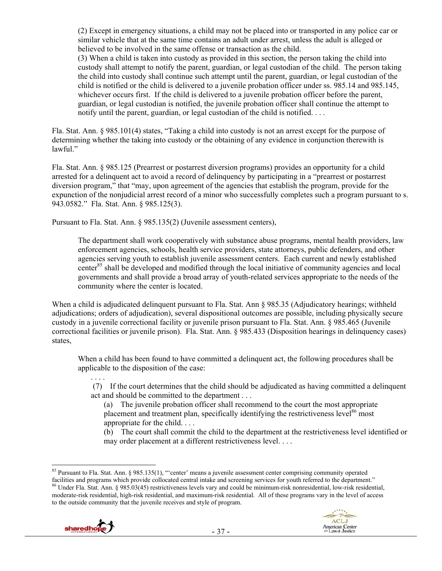(2) Except in emergency situations, a child may not be placed into or transported in any police car or similar vehicle that at the same time contains an adult under arrest, unless the adult is alleged or believed to be involved in the same offense or transaction as the child.

(3) When a child is taken into custody as provided in this section, the person taking the child into custody shall attempt to notify the parent, guardian, or legal custodian of the child. The person taking the child into custody shall continue such attempt until the parent, guardian, or legal custodian of the child is notified or the child is delivered to a juvenile probation officer under ss. 985.14 and 985.145, whichever occurs first. If the child is delivered to a juvenile probation officer before the parent, guardian, or legal custodian is notified, the juvenile probation officer shall continue the attempt to notify until the parent, guardian, or legal custodian of the child is notified. . . .

Fla. Stat. Ann. § 985.101(4) states, "Taking a child into custody is not an arrest except for the purpose of determining whether the taking into custody or the obtaining of any evidence in conjunction therewith is lawful."

Fla. Stat. Ann. § 985.125 (Prearrest or postarrest diversion programs) provides an opportunity for a child arrested for a delinquent act to avoid a record of delinquency by participating in a "prearrest or postarrest diversion program," that "may, upon agreement of the agencies that establish the program, provide for the expunction of the nonjudicial arrest record of a minor who successfully completes such a program pursuant to s. 943.0582." Fla. Stat. Ann. § 985.125(3).

Pursuant to Fla. Stat. Ann. § 985.135(2) (Juvenile assessment centers),

The department shall work cooperatively with substance abuse programs, mental health providers, law enforcement agencies, schools, health service providers, state attorneys, public defenders, and other agencies serving youth to establish juvenile assessment centers. Each current and newly established center<sup>85</sup> shall be developed and modified through the local initiative of community agencies and local governments and shall provide a broad array of youth-related services appropriate to the needs of the community where the center is located.

When a child is adjudicated delinquent pursuant to Fla. Stat. Ann § 985.35 (Adjudicatory hearings; withheld adjudications; orders of adjudication), several dispositional outcomes are possible, including physically secure custody in a juvenile correctional facility or juvenile prison pursuant to Fla. Stat. Ann. § 985.465 (Juvenile correctional facilities or juvenile prison). Fla. Stat. Ann. § 985.433 (Disposition hearings in delinquency cases) states,

When a child has been found to have committed a delinquent act, the following procedures shall be applicable to the disposition of the case:

 (7) If the court determines that the child should be adjudicated as having committed a delinquent act and should be committed to the department . . .

(a) The juvenile probation officer shall recommend to the court the most appropriate placement and treatment plan, specifically identifying the restrictiveness level<sup>86</sup> most appropriate for the child. . . .

(b) The court shall commit the child to the department at the restrictiveness level identified or may order placement at a different restrictiveness level. . . .

facilities and programs which provide collocated central intake and screening services for youth referred to the department."<br><sup>86</sup> Under Fla. Stat. Ann. § 985.03(45) restrictiveness levels vary and could be minimum-risk no moderate-risk residential, high-risk residential, and maximum-risk residential. All of these programs vary in the level of access to the outside community that the juvenile receives and style of program.



. . . .



 $\overline{a}$ <sup>85</sup> Pursuant to Fla. Stat. Ann. § 985.135(1), "'center' means a juvenile assessment center comprising community operated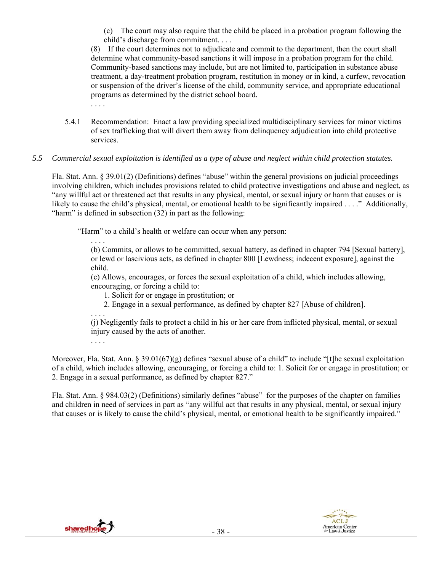(c) The court may also require that the child be placed in a probation program following the child's discharge from commitment. . . .

(8) If the court determines not to adjudicate and commit to the department, then the court shall determine what community-based sanctions it will impose in a probation program for the child. Community-based sanctions may include, but are not limited to, participation in substance abuse treatment, a day-treatment probation program, restitution in money or in kind, a curfew, revocation or suspension of the driver's license of the child, community service, and appropriate educational programs as determined by the district school board.

- . . . .
- 5.4.1 Recommendation: Enact a law providing specialized multidisciplinary services for minor victims of sex trafficking that will divert them away from delinquency adjudication into child protective services.
- *5.5 Commercial sexual exploitation is identified as a type of abuse and neglect within child protection statutes.*

Fla. Stat. Ann. § 39.01(2) (Definitions) defines "abuse" within the general provisions on judicial proceedings involving children, which includes provisions related to child protective investigations and abuse and neglect, as "any willful act or threatened act that results in any physical, mental, or sexual injury or harm that causes or is likely to cause the child's physical, mental, or emotional health to be significantly impaired . . . ." Additionally, "harm" is defined in subsection (32) in part as the following:

"Harm" to a child's health or welfare can occur when any person:

. . . . (b) Commits, or allows to be committed, sexual battery, as defined in chapter 794 [Sexual battery], or lewd or lascivious acts, as defined in chapter 800 [Lewdness; indecent exposure], against the child.

(c) Allows, encourages, or forces the sexual exploitation of a child, which includes allowing, encouraging, or forcing a child to:

- 1. Solicit for or engage in prostitution; or
- 2. Engage in a sexual performance, as defined by chapter 827 [Abuse of children].

. . . . (j) Negligently fails to protect a child in his or her care from inflicted physical, mental, or sexual injury caused by the acts of another.

. . . .

Moreover, Fla. Stat. Ann. § 39.01(67)(g) defines "sexual abuse of a child" to include "[t]he sexual exploitation of a child, which includes allowing, encouraging, or forcing a child to: 1. Solicit for or engage in prostitution; or 2. Engage in a sexual performance, as defined by chapter 827."

Fla. Stat. Ann. § 984.03(2) (Definitions) similarly defines "abuse" for the purposes of the chapter on families and children in need of services in part as "any willful act that results in any physical, mental, or sexual injury that causes or is likely to cause the child's physical, mental, or emotional health to be significantly impaired."



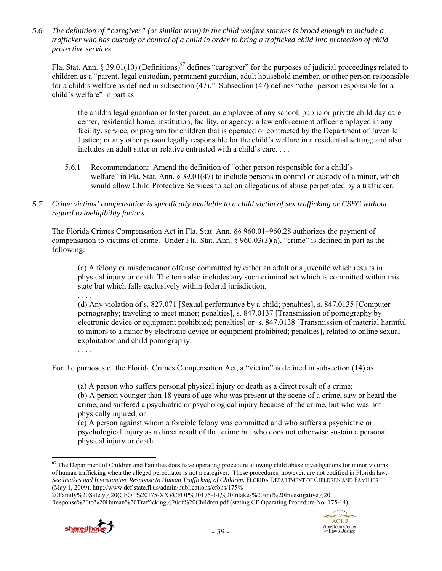*5.6 The definition of "caregiver" (or similar term) in the child welfare statutes is broad enough to include a trafficker who has custody or control of a child in order to bring a trafficked child into protection of child protective services.* 

Fla. Stat. Ann. § 39.01(10) (Definitions)<sup>87</sup> defines "caregiver" for the purposes of judicial proceedings related to children as a "parent, legal custodian, permanent guardian, adult household member, or other person responsible for a child's welfare as defined in subsection (47)." Subsection (47) defines "other person responsible for a child's welfare" in part as

the child's legal guardian or foster parent; an employee of any school, public or private child day care center, residential home, institution, facility, or agency; a law enforcement officer employed in any facility, service, or program for children that is operated or contracted by the Department of Juvenile Justice; or any other person legally responsible for the child's welfare in a residential setting; and also includes an adult sitter or relative entrusted with a child's care. . . .

- 5.6.1 Recommendation: Amend the definition of "other person responsible for a child's welfare" in Fla. Stat. Ann. § 39.01(47) to include persons in control or custody of a minor, which would allow Child Protective Services to act on allegations of abuse perpetrated by a trafficker.
- *5.7 Crime victims' compensation is specifically available to a child victim of sex trafficking or CSEC without regard to ineligibility factors.*

The Florida Crimes Compensation Act in Fla. Stat. Ann. §§ 960.01–960.28 authorizes the payment of compensation to victims of crime. Under Fla. Stat. Ann. § 960.03(3)(a), "crime" is defined in part as the following:

(a) A felony or misdemeanor offense committed by either an adult or a juvenile which results in physical injury or death. The term also includes any such criminal act which is committed within this state but which falls exclusively within federal jurisdiction.

. . . . (d) Any violation of s. 827.071 [Sexual performance by a child; penalties], s. 847.0135 [Computer pornography; traveling to meet minor; penalties], s. 847.0137 [Transmission of pornography by electronic device or equipment prohibited; penalties] or s. 847.0138 [Transmission of material harmful to minors to a minor by electronic device or equipment prohibited; penalties], related to online sexual exploitation and child pornography.

. . . .

For the purposes of the Florida Crimes Compensation Act, a "victim" is defined in subsection (14) as

(a) A person who suffers personal physical injury or death as a direct result of a crime; (b) A person younger than 18 years of age who was present at the scene of a crime, saw or heard the crime, and suffered a psychiatric or psychological injury because of the crime, but who was not physically injured; or

(c) A person against whom a forcible felony was committed and who suffers a psychiatric or psychological injury as a direct result of that crime but who does not otherwise sustain a personal physical injury or death.

<sup>20</sup>Family%20Safety%20(CFOP%20175-XX)/CFOP%20175-14,%20Intakes%20and%20Investigative%20 Response%20to%20Human%20Trafficking%20of%20Children.pdf (stating CF Operating Procedure No. 175-14).





 $\overline{a}$  $87$  The Department of Children and Families does have operating procedure allowing child abuse investigations for minor victims of human trafficking when the alleged perpetrator is not a caregiver. These procedures, however, are not codified in Florida law. *See Intakes and Investigative Response to Human Trafficking of Children*, FLORIDA DEPARTMENT OF CHILDREN AND FAMILIES (May 1, 2009), http://www.dcf.state.fl.us/admin/publications/cfops/175%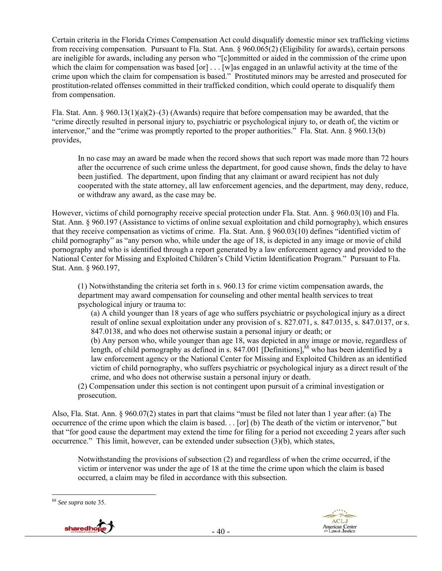Certain criteria in the Florida Crimes Compensation Act could disqualify domestic minor sex trafficking victims from receiving compensation. Pursuant to Fla. Stat. Ann. § 960.065(2) (Eligibility for awards), certain persons are ineligible for awards, including any person who "[c]ommitted or aided in the commission of the crime upon which the claim for compensation was based [or] . . . [w] as engaged in an unlawful activity at the time of the crime upon which the claim for compensation is based." Prostituted minors may be arrested and prosecuted for prostitution-related offenses committed in their trafficked condition, which could operate to disqualify them from compensation.

Fla. Stat. Ann. § 960.13(1)(a)(2)–(3) (Awards) require that before compensation may be awarded, that the "crime directly resulted in personal injury to, psychiatric or psychological injury to, or death of, the victim or intervenor," and the "crime was promptly reported to the proper authorities." Fla. Stat. Ann. § 960.13(b) provides,

In no case may an award be made when the record shows that such report was made more than 72 hours after the occurrence of such crime unless the department, for good cause shown, finds the delay to have been justified. The department, upon finding that any claimant or award recipient has not duly cooperated with the state attorney, all law enforcement agencies, and the department, may deny, reduce, or withdraw any award, as the case may be.

However, victims of child pornography receive special protection under Fla. Stat. Ann. § 960.03(10) and Fla. Stat. Ann. § 960.197 (Assistance to victims of online sexual exploitation and child pornography), which ensures that they receive compensation as victims of crime. Fla. Stat. Ann. § 960.03(10) defines "identified victim of child pornography" as "any person who, while under the age of 18, is depicted in any image or movie of child pornography and who is identified through a report generated by a law enforcement agency and provided to the National Center for Missing and Exploited Children's Child Victim Identification Program." Pursuant to Fla. Stat. Ann. § 960.197,

(1) Notwithstanding the criteria set forth in s. 960.13 for crime victim compensation awards, the department may award compensation for counseling and other mental health services to treat psychological injury or trauma to:

(a) A child younger than 18 years of age who suffers psychiatric or psychological injury as a direct result of online sexual exploitation under any provision of s. 827.071, s. 847.0135, s. 847.0137, or s. 847.0138, and who does not otherwise sustain a personal injury or death; or

(b) Any person who, while younger than age 18, was depicted in any image or movie, regardless of length, of child pornography as defined in s. 847.001 [Definitions],  $88$  who has been identified by a law enforcement agency or the National Center for Missing and Exploited Children as an identified victim of child pornography, who suffers psychiatric or psychological injury as a direct result of the crime, and who does not otherwise sustain a personal injury or death.

(2) Compensation under this section is not contingent upon pursuit of a criminal investigation or prosecution.

Also, Fla. Stat. Ann. § 960.07(2) states in part that claims "must be filed not later than 1 year after: (a) The occurrence of the crime upon which the claim is based. . . [or] (b) The death of the victim or intervenor," but that "for good cause the department may extend the time for filing for a period not exceeding 2 years after such occurrence." This limit, however, can be extended under subsection (3)(b), which states,

Notwithstanding the provisions of subsection (2) and regardless of when the crime occurred, if the victim or intervenor was under the age of 18 at the time the crime upon which the claim is based occurred, a claim may be filed in accordance with this subsection.





<sup>88</sup> *See supra* note 35.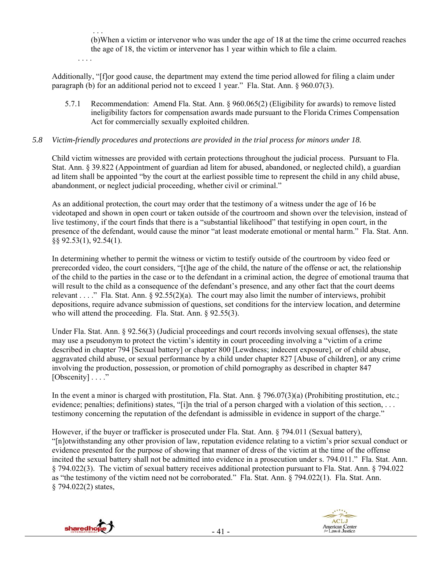. . . (b)When a victim or intervenor who was under the age of 18 at the time the crime occurred reaches the age of 18, the victim or intervenor has 1 year within which to file a claim.

. . . .

Additionally, "[f]or good cause, the department may extend the time period allowed for filing a claim under paragraph (b) for an additional period not to exceed 1 year." Fla. Stat. Ann. § 960.07(3).

5.7.1 Recommendation: Amend Fla. Stat. Ann. § 960.065(2) (Eligibility for awards) to remove listed ineligibility factors for compensation awards made pursuant to the Florida Crimes Compensation Act for commercially sexually exploited children.

## *5.8 Victim-friendly procedures and protections are provided in the trial process for minors under 18.*

Child victim witnesses are provided with certain protections throughout the judicial process. Pursuant to Fla. Stat. Ann. § 39.822 (Appointment of guardian ad litem for abused, abandoned, or neglected child), a guardian ad litem shall be appointed "by the court at the earliest possible time to represent the child in any child abuse, abandonment, or neglect judicial proceeding, whether civil or criminal."

As an additional protection, the court may order that the testimony of a witness under the age of 16 be videotaped and shown in open court or taken outside of the courtroom and shown over the television, instead of live testimony, if the court finds that there is a "substantial likelihood" that testifying in open court, in the presence of the defendant, would cause the minor "at least moderate emotional or mental harm." Fla. Stat. Ann. §§ 92.53(1), 92.54(1).

In determining whether to permit the witness or victim to testify outside of the courtroom by video feed or prerecorded video, the court considers, "[t]he age of the child, the nature of the offense or act, the relationship of the child to the parties in the case or to the defendant in a criminal action, the degree of emotional trauma that will result to the child as a consequence of the defendant's presence, and any other fact that the court deems relevant . . . ." Fla. Stat. Ann. § 92.55(2)(a). The court may also limit the number of interviews, prohibit depositions, require advance submission of questions, set conditions for the interview location, and determine who will attend the proceeding. Fla. Stat. Ann. § 92.55(3).

Under Fla. Stat. Ann. § 92.56(3) (Judicial proceedings and court records involving sexual offenses), the state may use a pseudonym to protect the victim's identity in court proceeding involving a "victim of a crime described in chapter 794 [Sexual battery] or chapter 800 [Lewdness; indecent exposure], or of child abuse, aggravated child abuse, or sexual performance by a child under chapter 827 [Abuse of children], or any crime involving the production, possession, or promotion of child pornography as described in chapter 847 [Obscenity] . . . ."

In the event a minor is charged with prostitution, Fla. Stat. Ann. § 796.07(3)(a) (Prohibiting prostitution, etc.; evidence; penalties; definitions) states, "[i]n the trial of a person charged with a violation of this section, ... testimony concerning the reputation of the defendant is admissible in evidence in support of the charge."

However, if the buyer or trafficker is prosecuted under Fla. Stat. Ann. § 794.011 (Sexual battery), "[n]otwithstanding any other provision of law, reputation evidence relating to a victim's prior sexual conduct or evidence presented for the purpose of showing that manner of dress of the victim at the time of the offense incited the sexual battery shall not be admitted into evidence in a prosecution under s. 794.011." Fla. Stat. Ann. § 794.022(3). The victim of sexual battery receives additional protection pursuant to Fla. Stat. Ann. § 794.022 as "the testimony of the victim need not be corroborated." Fla. Stat. Ann. § 794.022(1). Fla. Stat. Ann. § 794.022(2) states,



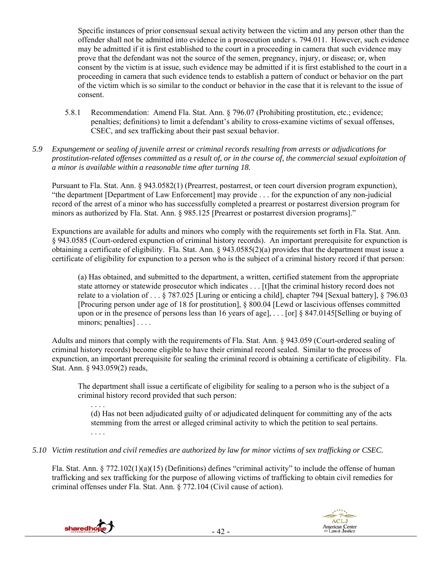Specific instances of prior consensual sexual activity between the victim and any person other than the offender shall not be admitted into evidence in a prosecution under s. 794.011. However, such evidence may be admitted if it is first established to the court in a proceeding in camera that such evidence may prove that the defendant was not the source of the semen, pregnancy, injury, or disease; or, when consent by the victim is at issue, such evidence may be admitted if it is first established to the court in a proceeding in camera that such evidence tends to establish a pattern of conduct or behavior on the part of the victim which is so similar to the conduct or behavior in the case that it is relevant to the issue of consent.

- 5.8.1 Recommendation: Amend Fla. Stat. Ann. § 796.07 (Prohibiting prostitution, etc.; evidence; penalties; definitions) to limit a defendant's ability to cross-examine victims of sexual offenses, CSEC, and sex trafficking about their past sexual behavior.
- *5.9 Expungement or sealing of juvenile arrest or criminal records resulting from arrests or adjudications for prostitution-related offenses committed as a result of, or in the course of, the commercial sexual exploitation of a minor is available within a reasonable time after turning 18.*

Pursuant to Fla. Stat. Ann. § 943.0582(1) (Prearrest, postarrest, or teen court diversion program expunction), "the department [Department of Law Enforcement] may provide . . . for the expunction of any non-judicial record of the arrest of a minor who has successfully completed a prearrest or postarrest diversion program for minors as authorized by Fla. Stat. Ann. § 985.125 [Prearrest or postarrest diversion programs]."

Expunctions are available for adults and minors who comply with the requirements set forth in Fla. Stat. Ann. § 943.0585 (Court-ordered expunction of criminal history records). An important prerequisite for expunction is obtaining a certificate of eligibility. Fla. Stat. Ann. § 943.0585(2)(a) provides that the department must issue a certificate of eligibility for expunction to a person who is the subject of a criminal history record if that person:

(a) Has obtained, and submitted to the department, a written, certified statement from the appropriate state attorney or statewide prosecutor which indicates . . . [t]hat the criminal history record does not relate to a violation of . . . § 787.025 [Luring or enticing a child], chapter 794 [Sexual battery], § 796.03 [Procuring person under age of 18 for prostitution], § 800.04 [Lewd or lascivious offenses committed upon or in the presence of persons less than 16 years of age], . . . [or] § 847.0145[Selling or buying of minors; penalties] . . . .

Adults and minors that comply with the requirements of Fla. Stat. Ann. § 943.059 (Court-ordered sealing of criminal history records) become eligible to have their criminal record sealed. Similar to the process of expunction, an important prerequisite for sealing the criminal record is obtaining a certificate of eligibility. Fla. Stat. Ann. § 943.059(2) reads,

The department shall issue a certificate of eligibility for sealing to a person who is the subject of a criminal history record provided that such person:

(d) Has not been adjudicated guilty of or adjudicated delinquent for committing any of the acts stemming from the arrest or alleged criminal activity to which the petition to seal pertains. . . . .

*5.10 Victim restitution and civil remedies are authorized by law for minor victims of sex trafficking or CSEC.* 

Fla. Stat. Ann. § 772.102(1)(a)(15) (Definitions) defines "criminal activity" to include the offense of human trafficking and sex trafficking for the purpose of allowing victims of trafficking to obtain civil remedies for criminal offenses under Fla. Stat. Ann. § 772.104 (Civil cause of action).



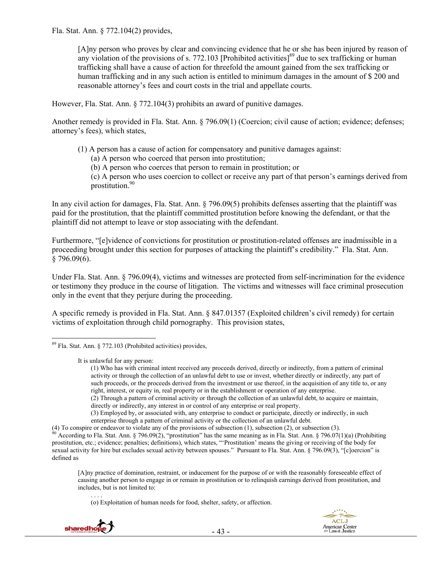Fla. Stat. Ann. § 772.104(2) provides,

[A]ny person who proves by clear and convincing evidence that he or she has been injured by reason of any violation of the provisions of s. 772.103 [Prohibited activities] $^{89}$  due to sex trafficking or human trafficking shall have a cause of action for threefold the amount gained from the sex trafficking or human trafficking and in any such action is entitled to minimum damages in the amount of \$ 200 and reasonable attorney's fees and court costs in the trial and appellate courts.

However, Fla. Stat. Ann. § 772.104(3) prohibits an award of punitive damages.

Another remedy is provided in Fla. Stat. Ann. § 796.09(1) (Coercion; civil cause of action; evidence; defenses; attorney's fees), which states,

- (1) A person has a cause of action for compensatory and punitive damages against:
	- (a) A person who coerced that person into prostitution;
	- (b) A person who coerces that person to remain in prostitution; or

(c) A person who uses coercion to collect or receive any part of that person's earnings derived from prostitution.90

In any civil action for damages, Fla. Stat. Ann. § 796.09(5) prohibits defenses asserting that the plaintiff was paid for the prostitution, that the plaintiff committed prostitution before knowing the defendant, or that the plaintiff did not attempt to leave or stop associating with the defendant.

Furthermore, "[e]vidence of convictions for prostitution or prostitution-related offenses are inadmissible in a proceeding brought under this section for purposes of attacking the plaintiff's credibility." Fla. Stat. Ann.  $$796.09(6).$ 

Under Fla. Stat. Ann. § 796.09(4), victims and witnesses are protected from self-incrimination for the evidence or testimony they produce in the course of litigation. The victims and witnesses will face criminal prosecution only in the event that they perjure during the proceeding.

A specific remedy is provided in Fla. Stat. Ann. § 847.01357 (Exploited children's civil remedy) for certain victims of exploitation through child pornography. This provision states,

. . . . (o) Exploitation of human needs for food, shelter, safety, or affection.



 $\overline{a}$  $89$  Fla. Stat. Ann. § 772.103 (Prohibited activities) provides,

It is unlawful for any person:

<sup>(1)</sup> Who has with criminal intent received any proceeds derived, directly or indirectly, from a pattern of criminal activity or through the collection of an unlawful debt to use or invest, whether directly or indirectly, any part of such proceeds, or the proceeds derived from the investment or use thereof, in the acquisition of any title to, or any right, interest, or equity in, real property or in the establishment or operation of any enterprise.

<sup>(2)</sup> Through a pattern of criminal activity or through the collection of an unlawful debt, to acquire or maintain, directly or indirectly, any interest in or control of any enterprise or real property.

<sup>(3)</sup> Employed by, or associated with, any enterprise to conduct or participate, directly or indirectly, in such enterprise through a pattern of criminal activity or the collection of an unlawful debt.

<sup>(4)</sup> To conspire or endeavor to violate any of the provisions of subsection (1), subsection (2), or subsection (3).<br><sup>90</sup> According to Fla. Stat. Ann. § 796.09(2), "prostitution" has the same meaning as in Fla. Stat. Ann. § prostitution, etc.; evidence; penalties; definitions), which states, "'Prostitution' means the giving or receiving of the body for sexual activity for hire but excludes sexual activity between spouses." Pursuant to Fla. Stat. Ann. § 796.09(3), "[c]oercion" is defined as

<sup>[</sup>A]ny practice of domination, restraint, or inducement for the purpose of or with the reasonably foreseeable effect of causing another person to engage in or remain in prostitution or to relinquish earnings derived from prostitution, and includes, but is not limited to: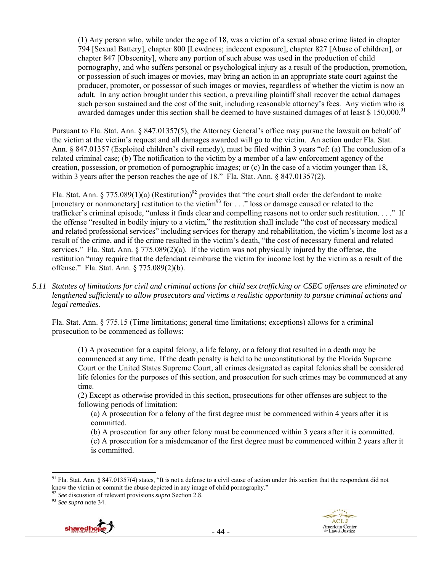(1) Any person who, while under the age of 18, was a victim of a sexual abuse crime listed in chapter 794 [Sexual Battery], chapter 800 [Lewdness; indecent exposure], chapter 827 [Abuse of children], or chapter 847 [Obscenity], where any portion of such abuse was used in the production of child pornography, and who suffers personal or psychological injury as a result of the production, promotion, or possession of such images or movies, may bring an action in an appropriate state court against the producer, promoter, or possessor of such images or movies, regardless of whether the victim is now an adult. In any action brought under this section, a prevailing plaintiff shall recover the actual damages such person sustained and the cost of the suit, including reasonable attorney's fees. Any victim who is awarded damages under this section shall be deemed to have sustained damages of at least \$ 150,000.<sup>91</sup>

Pursuant to Fla. Stat. Ann. § 847.01357(5), the Attorney General's office may pursue the lawsuit on behalf of the victim at the victim's request and all damages awarded will go to the victim. An action under Fla. Stat. Ann. § 847.01357 (Exploited children's civil remedy), must be filed within 3 years "of: (a) The conclusion of a related criminal case; (b) The notification to the victim by a member of a law enforcement agency of the creation, possession, or promotion of pornographic images; or (c) In the case of a victim younger than 18, within 3 years after the person reaches the age of 18." Fla. Stat. Ann. § 847.01357(2).

Fla. Stat. Ann. § 775.089(1)(a) (Restitution)<sup>92</sup> provides that "the court shall order the defendant to make [monetary or nonmonetary] restitution to the victim<sup>93</sup> for  $\ldots$  " loss or damage caused or related to the trafficker's criminal episode, "unless it finds clear and compelling reasons not to order such restitution. . . ." If the offense "resulted in bodily injury to a victim," the restitution shall include "the cost of necessary medical and related professional services" including services for therapy and rehabilitation, the victim's income lost as a result of the crime, and if the crime resulted in the victim's death, "the cost of necessary funeral and related services." Fla. Stat. Ann. § 775.089(2)(a). If the victim was not physically injured by the offense, the restitution "may require that the defendant reimburse the victim for income lost by the victim as a result of the offense." Fla. Stat. Ann. § 775.089(2)(b).

*5.11 Statutes of limitations for civil and criminal actions for child sex trafficking or CSEC offenses are eliminated or lengthened sufficiently to allow prosecutors and victims a realistic opportunity to pursue criminal actions and legal remedies.* 

Fla. Stat. Ann. § 775.15 (Time limitations; general time limitations; exceptions) allows for a criminal prosecution to be commenced as follows:

(1) A prosecution for a capital felony, a life felony, or a felony that resulted in a death may be commenced at any time. If the death penalty is held to be unconstitutional by the Florida Supreme Court or the United States Supreme Court, all crimes designated as capital felonies shall be considered life felonies for the purposes of this section, and prosecution for such crimes may be commenced at any time.

(2) Except as otherwise provided in this section, prosecutions for other offenses are subject to the following periods of limitation:

(a) A prosecution for a felony of the first degree must be commenced within 4 years after it is committed.

(b) A prosecution for any other felony must be commenced within 3 years after it is committed. (c) A prosecution for a misdemeanor of the first degree must be commenced within 2 years after it is committed.



 $91$  Fla. Stat. Ann. § 847.01357(4) states, "It is not a defense to a civil cause of action under this section that the respondent did not know the victim or commit the abuse depicted in any image of child pornography." 92 *See* discussion of relevant provisions *supra* Section 2.8. 93 *See supra* note 34.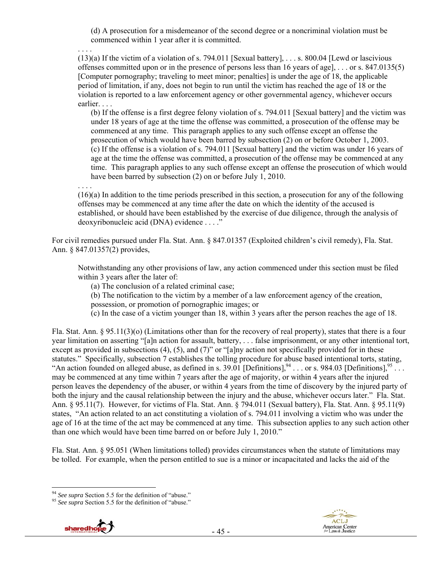(d) A prosecution for a misdemeanor of the second degree or a noncriminal violation must be commenced within 1 year after it is committed.

(13)(a) If the victim of a violation of s. 794.011 [Sexual battery], . . . s. 800.04 [Lewd or lascivious offenses committed upon or in the presence of persons less than 16 years of age], . . . or s. 847.0135(5) [Computer pornography; traveling to meet minor; penalties] is under the age of 18, the applicable period of limitation, if any, does not begin to run until the victim has reached the age of 18 or the violation is reported to a law enforcement agency or other governmental agency, whichever occurs earlier. . . .

(b) If the offense is a first degree felony violation of s. 794.011 [Sexual battery] and the victim was under 18 years of age at the time the offense was committed, a prosecution of the offense may be commenced at any time. This paragraph applies to any such offense except an offense the prosecution of which would have been barred by subsection (2) on or before October 1, 2003. (c) If the offense is a violation of s. 794.011 [Sexual battery] and the victim was under 16 years of age at the time the offense was committed, a prosecution of the offense may be commenced at any time. This paragraph applies to any such offense except an offense the prosecution of which would have been barred by subsection (2) on or before July 1, 2010.

. . . .

. . . .

(16)(a) In addition to the time periods prescribed in this section, a prosecution for any of the following offenses may be commenced at any time after the date on which the identity of the accused is established, or should have been established by the exercise of due diligence, through the analysis of deoxyribonucleic acid (DNA) evidence . . . ."

For civil remedies pursued under Fla. Stat. Ann. § 847.01357 (Exploited children's civil remedy), Fla. Stat. Ann. § 847.01357(2) provides,

Notwithstanding any other provisions of law, any action commenced under this section must be filed within 3 years after the later of:

(a) The conclusion of a related criminal case;

(b) The notification to the victim by a member of a law enforcement agency of the creation, possession, or promotion of pornographic images; or

(c) In the case of a victim younger than 18, within 3 years after the person reaches the age of 18.

Fla. Stat. Ann. § 95.11(3)(o) (Limitations other than for the recovery of real property), states that there is a four year limitation on asserting "[a]n action for assault, battery, . . . false imprisonment, or any other intentional tort, except as provided in subsections (4), (5), and (7)" or "[a]ny action not specifically provided for in these statutes." Specifically, subsection 7 establishes the tolling procedure for abuse based intentional torts, stating, "An action founded on alleged abuse, as defined in s.  $39.01$  [Definitions],  $94$  . . . or s.  $984.03$  [Definitions],  $95$  . . . may be commenced at any time within 7 years after the age of majority, or within 4 years after the injured person leaves the dependency of the abuser, or within 4 years from the time of discovery by the injured party of both the injury and the causal relationship between the injury and the abuse, whichever occurs later." Fla. Stat. Ann. § 95.11(7). However, for victims of Fla. Stat. Ann. § 794.011 (Sexual battery), Fla. Stat. Ann. § 95.11(9) states, "An action related to an act constituting a violation of s. 794.011 involving a victim who was under the age of 16 at the time of the act may be commenced at any time. This subsection applies to any such action other than one which would have been time barred on or before July 1, 2010."

Fla. Stat. Ann. § 95.051 (When limitations tolled) provides circumstances when the statute of limitations may be tolled. For example, when the person entitled to sue is a minor or incapacitated and lacks the aid of the



<sup>94</sup> *See supra* Section 5.5 for the definition of "abuse." 95 *See supra* Section 5.5 for the definition of "abuse."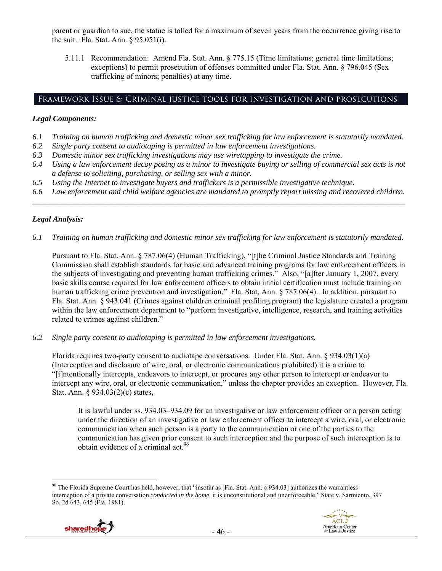parent or guardian to sue, the statue is tolled for a maximum of seven years from the occurrence giving rise to the suit. Fla. Stat. Ann. § 95.051(i).

5.11.1 Recommendation: Amend Fla. Stat. Ann. § 775.15 (Time limitations; general time limitations; exceptions) to permit prosecution of offenses committed under Fla. Stat. Ann. § 796.045 (Sex trafficking of minors; penalties) at any time.

## Framework Issue 6: Criminal justice tools for investigation and prosecutions

#### *Legal Components:*

- *6.1 Training on human trafficking and domestic minor sex trafficking for law enforcement is statutorily mandated.*
- *6.2 Single party consent to audiotaping is permitted in law enforcement investigations.*
- *6.3 Domestic minor sex trafficking investigations may use wiretapping to investigate the crime.*
- *6.4 Using a law enforcement decoy posing as a minor to investigate buying or selling of commercial sex acts is not a defense to soliciting, purchasing, or selling sex with a minor.*
- *6.5 Using the Internet to investigate buyers and traffickers is a permissible investigative technique.*
- *6.6 Law enforcement and child welfare agencies are mandated to promptly report missing and recovered children. \_\_\_\_\_\_\_\_\_\_\_\_\_\_\_\_\_\_\_\_\_\_\_\_\_\_\_\_\_\_\_\_\_\_\_\_\_\_\_\_\_\_\_\_\_\_\_\_\_\_\_\_\_\_\_\_\_\_\_\_\_\_\_\_\_\_\_\_\_\_\_\_\_\_\_\_\_\_\_\_\_\_\_\_\_\_\_\_\_\_\_\_\_\_*

#### *Legal Analysis:*

*6.1 Training on human trafficking and domestic minor sex trafficking for law enforcement is statutorily mandated.* 

Pursuant to Fla. Stat. Ann. § 787.06(4) (Human Trafficking), "[t]he Criminal Justice Standards and Training Commission shall establish standards for basic and advanced training programs for law enforcement officers in the subjects of investigating and preventing human trafficking crimes." Also, "[a]fter January 1, 2007, every basic skills course required for law enforcement officers to obtain initial certification must include training on human trafficking crime prevention and investigation." Fla. Stat. Ann. § 787.06(4). In addition, pursuant to Fla. Stat. Ann. § 943.041 (Crimes against children criminal profiling program) the legislature created a program within the law enforcement department to "perform investigative, intelligence, research, and training activities related to crimes against children."

*6.2 Single party consent to audiotaping is permitted in law enforcement investigations.* 

Florida requires two-party consent to audiotape conversations. Under Fla. Stat. Ann. § 934.03(1)(a) (Interception and disclosure of wire, oral, or electronic communications prohibited) it is a crime to "[i]ntentionally intercepts, endeavors to intercept, or procures any other person to intercept or endeavor to intercept any wire, oral, or electronic communication," unless the chapter provides an exception. However, Fla. Stat. Ann. § 934.03(2)(c) states,

It is lawful under ss. 934.03–934.09 for an investigative or law enforcement officer or a person acting under the direction of an investigative or law enforcement officer to intercept a wire, oral, or electronic communication when such person is a party to the communication or one of the parties to the communication has given prior consent to such interception and the purpose of such interception is to obtain evidence of a criminal act.<sup>96</sup>

<sup>&</sup>lt;sup>96</sup> The Florida Supreme Court has held, however, that "insofar as [Fla. Stat. Ann. § 934.03] authorizes the warrantless interception of a private conversation *conducted in the home,* it is unconstitutional and unenforceable." State v. Sarmiento, 397 So. 2d 643, 645 (Fla. 1981).

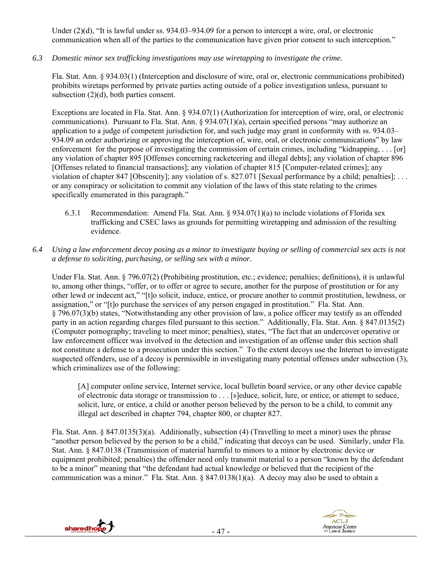Under (2)(d), "It is lawful under ss. 934.03–934.09 for a person to intercept a wire, oral, or electronic communication when all of the parties to the communication have given prior consent to such interception."

*6.3 Domestic minor sex trafficking investigations may use wiretapping to investigate the crime.* 

Fla. Stat. Ann. § 934.03(1) (Interception and disclosure of wire, oral or, electronic communications prohibited) prohibits wiretaps performed by private parties acting outside of a police investigation unless, pursuant to subsection (2)(d), both parties consent.

Exceptions are located in Fla. Stat. Ann. § 934.07(1) (Authorization for interception of wire, oral, or electronic communications). Pursuant to Fla. Stat. Ann. § 934.07(1)(a), certain specified persons "may authorize an application to a judge of competent jurisdiction for, and such judge may grant in conformity with ss. 934.03– 934.09 an order authorizing or approving the interception of, wire, oral, or electronic communications" by law enforcement for the purpose of investigating the commission of certain crimes, including "kidnapping, . . . [or] any violation of chapter 895 [Offenses concerning racketeering and illegal debts]; any violation of chapter 896 [Offenses related to financial transactions]; any violation of chapter 815 [Computer-related crimes]; any violation of chapter 847 [Obscenity]; any violation of s. 827.071 [Sexual performance by a child; penalties]; . . . or any conspiracy or solicitation to commit any violation of the laws of this state relating to the crimes specifically enumerated in this paragraph."

- 6.3.1 Recommendation: Amend Fla. Stat. Ann. § 934.07(1)(a) to include violations of Florida sex trafficking and CSEC laws as grounds for permitting wiretapping and admission of the resulting evidence.
- *6.4 Using a law enforcement decoy posing as a minor to investigate buying or selling of commercial sex acts is not a defense to soliciting, purchasing, or selling sex with a minor.*

Under Fla. Stat. Ann. § 796.07(2) (Prohibiting prostitution, etc.; evidence; penalties; definitions), it is unlawful to, among other things, "offer, or to offer or agree to secure, another for the purpose of prostitution or for any other lewd or indecent act," "[t]o solicit, induce, entice, or procure another to commit prostitution, lewdness, or assignation," or "[t]o purchase the services of any person engaged in prostitution." Fla. Stat. Ann. § 796.07(3)(b) states, "Notwithstanding any other provision of law, a police officer may testify as an offended party in an action regarding charges filed pursuant to this section." Additionally, Fla. Stat. Ann. § 847.0135(2) (Computer pornography; traveling to meet minor; penalties), states, "The fact that an undercover operative or law enforcement officer was involved in the detection and investigation of an offense under this section shall not constitute a defense to a prosecution under this section." To the extent decoys use the Internet to investigate suspected offenders, use of a decoy is permissible in investigating many potential offenses under subsection (3), which criminalizes use of the following:

[A] computer online service, Internet service, local bulletin board service, or any other device capable of electronic data storage or transmission to . . . [s]educe, solicit, lure, or entice, or attempt to seduce, solicit, lure, or entice, a child or another person believed by the person to be a child, to commit any illegal act described in chapter 794, chapter 800, or chapter 827.

 Fla. Stat. Ann. § 847.0135(3)(a). Additionally, subsection (4) (Travelling to meet a minor) uses the phrase "another person believed by the person to be a child," indicating that decoys can be used. Similarly, under Fla. Stat. Ann. § 847.0138 (Transmission of material harmful to minors to a minor by electronic device or equipment prohibited; penalties) the offender need only transmit material to a person "known by the defendant to be a minor" meaning that "the defendant had actual knowledge or believed that the recipient of the communication was a minor." Fla. Stat. Ann. § 847.0138(1)(a). A decoy may also be used to obtain a



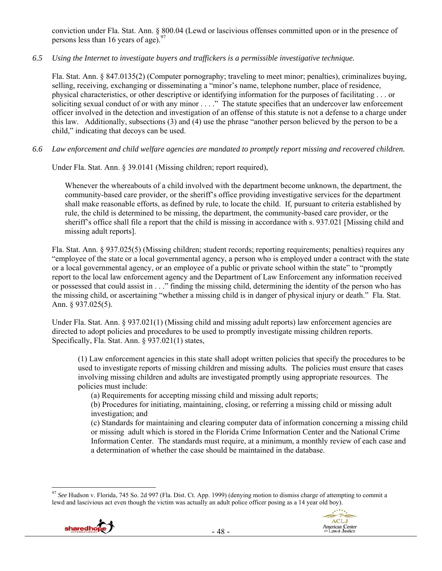conviction under Fla. Stat. Ann. § 800.04 (Lewd or lascivious offenses committed upon or in the presence of persons less than 16 years of age). $97$ 

## *6.5 Using the Internet to investigate buyers and traffickers is a permissible investigative technique.*

Fla. Stat. Ann. § 847.0135(2) (Computer pornography; traveling to meet minor; penalties), criminalizes buying, selling, receiving, exchanging or disseminating a "minor's name, telephone number, place of residence, physical characteristics, or other descriptive or identifying information for the purposes of facilitating . . . or soliciting sexual conduct of or with any minor . . . ." The statute specifies that an undercover law enforcement officer involved in the detection and investigation of an offense of this statute is not a defense to a charge under this law. Additionally, subsections (3) and (4) use the phrase "another person believed by the person to be a child," indicating that decoys can be used.

*6.6 Law enforcement and child welfare agencies are mandated to promptly report missing and recovered children.* 

Under Fla. Stat. Ann. § 39.0141 (Missing children; report required),

Whenever the whereabouts of a child involved with the department become unknown, the department, the community-based care provider, or the sheriff's office providing investigative services for the department shall make reasonable efforts, as defined by rule, to locate the child. If, pursuant to criteria established by rule, the child is determined to be missing, the department, the community-based care provider, or the sheriff's office shall file a report that the child is missing in accordance with s. 937.021 [Missing child and missing adult reports].

Fla. Stat. Ann. § 937.025(5) (Missing children; student records; reporting requirements; penalties) requires any "employee of the state or a local governmental agency, a person who is employed under a contract with the state or a local governmental agency, or an employee of a public or private school within the state" to "promptly report to the local law enforcement agency and the Department of Law Enforcement any information received or possessed that could assist in . . ." finding the missing child, determining the identity of the person who has the missing child, or ascertaining "whether a missing child is in danger of physical injury or death." Fla. Stat. Ann. § 937.025(5).

Under Fla. Stat. Ann. § 937.021(1) (Missing child and missing adult reports) law enforcement agencies are directed to adopt policies and procedures to be used to promptly investigate missing children reports. Specifically, Fla. Stat. Ann. § 937.021(1) states,

(1) Law enforcement agencies in this state shall adopt written policies that specify the procedures to be used to investigate reports of missing children and missing adults. The policies must ensure that cases involving missing children and adults are investigated promptly using appropriate resources. The policies must include:

(a) Requirements for accepting missing child and missing adult reports;

(b) Procedures for initiating, maintaining, closing, or referring a missing child or missing adult investigation; and

(c) Standards for maintaining and clearing computer data of information concerning a missing child or missing adult which is stored in the Florida Crime Information Center and the National Crime Information Center. The standards must require, at a minimum, a monthly review of each case and a determination of whether the case should be maintained in the database.

 $\overline{a}$ <sup>97</sup> *See* Hudson v. Florida, 745 So. 2d 997 (Fla. Dist. Ct. App. 1999) (denying motion to dismiss charge of attempting to commit a lewd and lascivious act even though the victim was actually an adult police officer posing as a 14 year old boy).